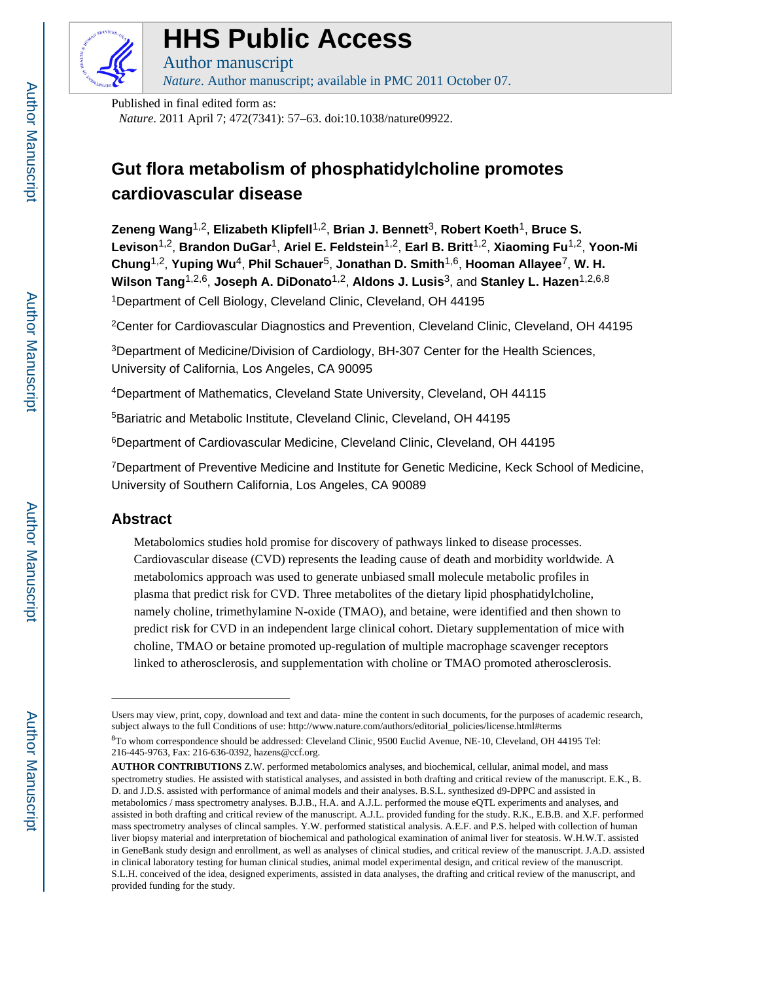

# **HHS Public Access**

Author manuscript *Nature*. Author manuscript; available in PMC 2011 October 07.

Published in final edited form as:

*Nature*. 2011 April 7; 472(7341): 57–63. doi:10.1038/nature09922.

## **Gut flora metabolism of phosphatidylcholine promotes cardiovascular disease**

**Zeneng Wang**1,2, **Elizabeth Klipfell**1,2, **Brian J. Bennett**3, **Robert Koeth**1, **Bruce S. Levison**1,2, **Brandon DuGar**1, **Ariel E. Feldstein**1,2, **Earl B. Britt**1,2, **Xiaoming Fu**1,2, **Yoon-Mi Chung**1,2, **Yuping Wu**4, **Phil Schauer**5, **Jonathan D. Smith**1,6, **Hooman Allayee**7, **W. H. Wilson Tang**1,2,6, **Joseph A. DiDonato**1,2, **Aldons J. Lusis**3, and **Stanley L. Hazen**1,2,6,8 <sup>1</sup>Department of Cell Biology, Cleveland Clinic, Cleveland, OH 44195

<sup>2</sup>Center for Cardiovascular Diagnostics and Prevention, Cleveland Clinic, Cleveland, OH 44195

<sup>3</sup>Department of Medicine/Division of Cardiology, BH-307 Center for the Health Sciences, University of California, Los Angeles, CA 90095

<sup>4</sup>Department of Mathematics, Cleveland State University, Cleveland, OH 44115

<sup>5</sup>Bariatric and Metabolic Institute, Cleveland Clinic, Cleveland, OH 44195

<sup>6</sup>Department of Cardiovascular Medicine, Cleveland Clinic, Cleveland, OH 44195

<sup>7</sup>Department of Preventive Medicine and Institute for Genetic Medicine, Keck School of Medicine, University of Southern California, Los Angeles, CA 90089

## **Abstract**

Metabolomics studies hold promise for discovery of pathways linked to disease processes. Cardiovascular disease (CVD) represents the leading cause of death and morbidity worldwide. A metabolomics approach was used to generate unbiased small molecule metabolic profiles in plasma that predict risk for CVD. Three metabolites of the dietary lipid phosphatidylcholine, namely choline, trimethylamine N-oxide (TMAO), and betaine, were identified and then shown to predict risk for CVD in an independent large clinical cohort. Dietary supplementation of mice with choline, TMAO or betaine promoted up-regulation of multiple macrophage scavenger receptors linked to atherosclerosis, and supplementation with choline or TMAO promoted atherosclerosis.

Users may view, print, copy, download and text and data- mine the content in such documents, for the purposes of academic research, subject always to the full Conditions of use: http://www.nature.com/authors/editorial\_policies/license.html#terms

<sup>8</sup>To whom correspondence should be addressed: Cleveland Clinic, 9500 Euclid Avenue, NE-10, Cleveland, OH 44195 Tel: 216-445-9763, Fax: 216-636-0392, hazens@ccf.org.

**AUTHOR CONTRIBUTIONS** Z.W. performed metabolomics analyses, and biochemical, cellular, animal model, and mass spectrometry studies. He assisted with statistical analyses, and assisted in both drafting and critical review of the manuscript. E.K., B. D. and J.D.S. assisted with performance of animal models and their analyses. B.S.L. synthesized d9-DPPC and assisted in metabolomics / mass spectrometry analyses. B.J.B., H.A. and A.J.L. performed the mouse eQTL experiments and analyses, and assisted in both drafting and critical review of the manuscript. A.J.L. provided funding for the study. R.K., E.B.B. and X.F. performed mass spectrometry analyses of clincal samples. Y.W. performed statistical analysis. A.E.F. and P.S. helped with collection of human liver biopsy material and interpretation of biochemical and pathological examination of animal liver for steatosis. W.H.W.T. assisted in GeneBank study design and enrollment, as well as analyses of clinical studies, and critical review of the manuscript. J.A.D. assisted in clinical laboratory testing for human clinical studies, animal model experimental design, and critical review of the manuscript. S.L.H. conceived of the idea, designed experiments, assisted in data analyses, the drafting and critical review of the manuscript, and provided funding for the study.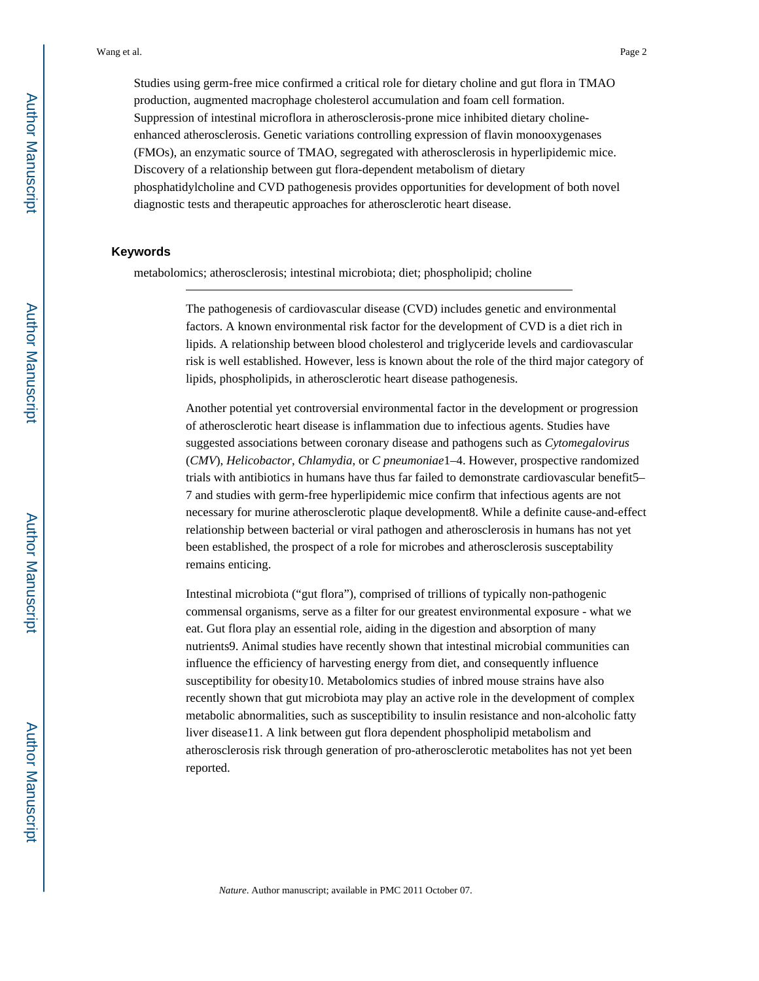Studies using germ-free mice confirmed a critical role for dietary choline and gut flora in TMAO production, augmented macrophage cholesterol accumulation and foam cell formation. Suppression of intestinal microflora in atherosclerosis-prone mice inhibited dietary cholineenhanced atherosclerosis. Genetic variations controlling expression of flavin monooxygenases (FMOs), an enzymatic source of TMAO, segregated with atherosclerosis in hyperlipidemic mice. Discovery of a relationship between gut flora-dependent metabolism of dietary phosphatidylcholine and CVD pathogenesis provides opportunities for development of both novel diagnostic tests and therapeutic approaches for atherosclerotic heart disease.

#### **Keywords**

metabolomics; atherosclerosis; intestinal microbiota; diet; phospholipid; choline

The pathogenesis of cardiovascular disease (CVD) includes genetic and environmental factors. A known environmental risk factor for the development of CVD is a diet rich in lipids. A relationship between blood cholesterol and triglyceride levels and cardiovascular risk is well established. However, less is known about the role of the third major category of lipids, phospholipids, in atherosclerotic heart disease pathogenesis.

Another potential yet controversial environmental factor in the development or progression of atherosclerotic heart disease is inflammation due to infectious agents. Studies have suggested associations between coronary disease and pathogens such as *Cytomegalovirus*  (*CMV*), *Helicobactor*, *Chlamydia*, or *C pneumoniae*1–4. However, prospective randomized trials with antibiotics in humans have thus far failed to demonstrate cardiovascular benefit5– 7 and studies with germ-free hyperlipidemic mice confirm that infectious agents are not necessary for murine atherosclerotic plaque development8. While a definite cause-and-effect relationship between bacterial or viral pathogen and atherosclerosis in humans has not yet been established, the prospect of a role for microbes and atherosclerosis susceptability remains enticing.

Intestinal microbiota ("gut flora"), comprised of trillions of typically non-pathogenic commensal organisms, serve as a filter for our greatest environmental exposure - what we eat. Gut flora play an essential role, aiding in the digestion and absorption of many nutrients9. Animal studies have recently shown that intestinal microbial communities can influence the efficiency of harvesting energy from diet, and consequently influence susceptibility for obesity10. Metabolomics studies of inbred mouse strains have also recently shown that gut microbiota may play an active role in the development of complex metabolic abnormalities, such as susceptibility to insulin resistance and non-alcoholic fatty liver disease11. A link between gut flora dependent phospholipid metabolism and atherosclerosis risk through generation of pro-atherosclerotic metabolites has not yet been reported.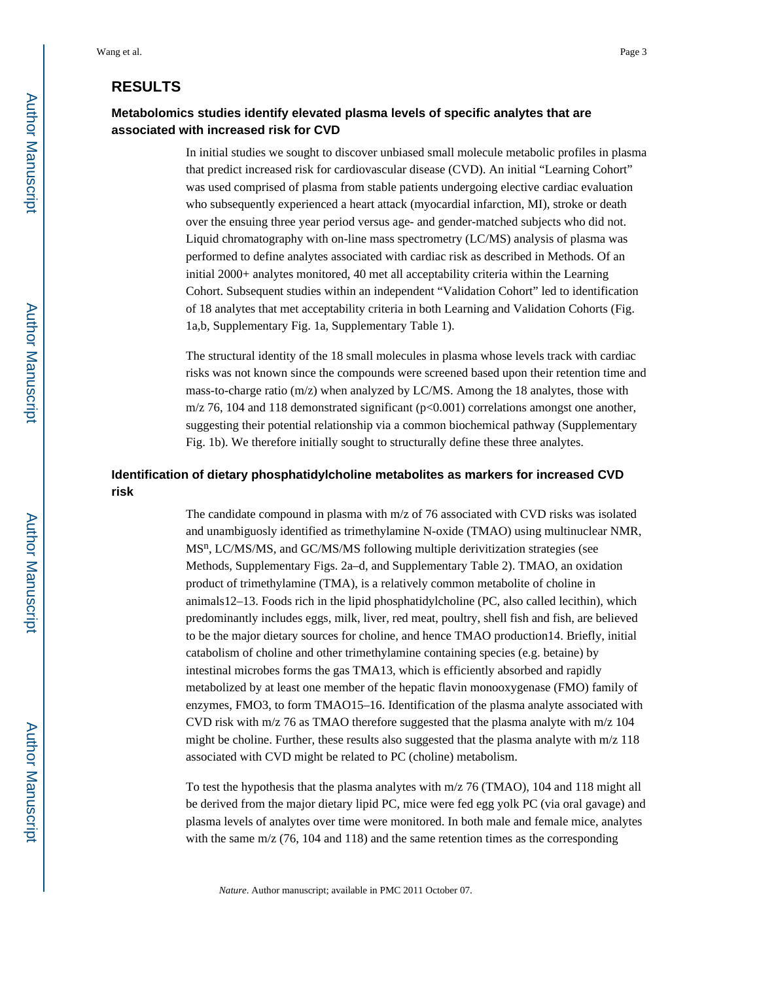## **RESULTS**

## **Metabolomics studies identify elevated plasma levels of specific analytes that are associated with increased risk for CVD**

In initial studies we sought to discover unbiased small molecule metabolic profiles in plasma that predict increased risk for cardiovascular disease (CVD). An initial "Learning Cohort" was used comprised of plasma from stable patients undergoing elective cardiac evaluation who subsequently experienced a heart attack (myocardial infarction, MI), stroke or death over the ensuing three year period versus age- and gender-matched subjects who did not. Liquid chromatography with on-line mass spectrometry (LC/MS) analysis of plasma was performed to define analytes associated with cardiac risk as described in Methods. Of an initial 2000+ analytes monitored, 40 met all acceptability criteria within the Learning Cohort. Subsequent studies within an independent "Validation Cohort" led to identification of 18 analytes that met acceptability criteria in both Learning and Validation Cohorts (Fig. 1a,b, Supplementary Fig. 1a, Supplementary Table 1).

The structural identity of the 18 small molecules in plasma whose levels track with cardiac risks was not known since the compounds were screened based upon their retention time and mass-to-charge ratio ( $m/z$ ) when analyzed by LC/MS. Among the 18 analytes, those with m/z 76, 104 and 118 demonstrated significant  $(p<0.001)$  correlations amongst one another, suggesting their potential relationship via a common biochemical pathway (Supplementary Fig. 1b). We therefore initially sought to structurally define these three analytes.

## **Identification of dietary phosphatidylcholine metabolites as markers for increased CVD risk**

The candidate compound in plasma with  $m/z$  of 76 associated with CVD risks was isolated and unambiguosly identified as trimethylamine N-oxide (TMAO) using multinuclear NMR, MS<sup>n</sup>, LC/MS/MS, and GC/MS/MS following multiple derivitization strategies (see Methods, Supplementary Figs. 2a–d, and Supplementary Table 2). TMAO, an oxidation product of trimethylamine (TMA), is a relatively common metabolite of choline in animals12–13. Foods rich in the lipid phosphatidylcholine (PC, also called lecithin), which predominantly includes eggs, milk, liver, red meat, poultry, shell fish and fish, are believed to be the major dietary sources for choline, and hence TMAO production14. Briefly, initial catabolism of choline and other trimethylamine containing species (e.g. betaine) by intestinal microbes forms the gas TMA13, which is efficiently absorbed and rapidly metabolized by at least one member of the hepatic flavin monooxygenase (FMO) family of enzymes, FMO3, to form TMAO15–16. Identification of the plasma analyte associated with CVD risk with m/z 76 as TMAO therefore suggested that the plasma analyte with m/z 104 might be choline. Further, these results also suggested that the plasma analyte with  $m/z$  118 associated with CVD might be related to PC (choline) metabolism.

To test the hypothesis that the plasma analytes with m/z 76 (TMAO), 104 and 118 might all be derived from the major dietary lipid PC, mice were fed egg yolk PC (via oral gavage) and plasma levels of analytes over time were monitored. In both male and female mice, analytes with the same  $m/z$  (76, 104 and 118) and the same retention times as the corresponding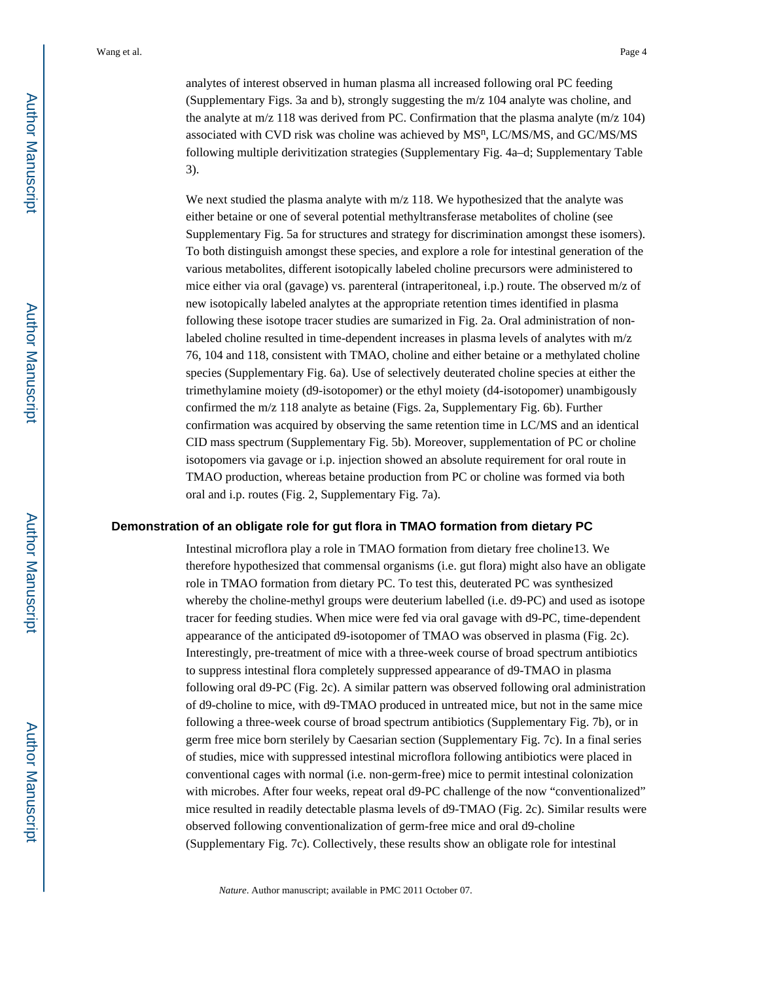the analyte at  $m/z$  118 was derived from PC. Confirmation that the plasma analyte  $(m/z 104)$ associated with CVD risk was choline was achieved by MS<sup>n</sup>, LC/MS/MS, and GC/MS/MS following multiple derivitization strategies (Supplementary Fig. 4a–d; Supplementary Table 3).

We next studied the plasma analyte with  $m/z$  118. We hypothesized that the analyte was either betaine or one of several potential methyltransferase metabolites of choline (see Supplementary Fig. 5a for structures and strategy for discrimination amongst these isomers). To both distinguish amongst these species, and explore a role for intestinal generation of the various metabolites, different isotopically labeled choline precursors were administered to mice either via oral (gavage) vs. parenteral (intraperitoneal, i.p.) route. The observed m/z of new isotopically labeled analytes at the appropriate retention times identified in plasma following these isotope tracer studies are sumarized in Fig. 2a. Oral administration of nonlabeled choline resulted in time-dependent increases in plasma levels of analytes with m/z 76, 104 and 118, consistent with TMAO, choline and either betaine or a methylated choline species (Supplementary Fig. 6a). Use of selectively deuterated choline species at either the trimethylamine moiety (d9-isotopomer) or the ethyl moiety (d4-isotopomer) unambigously confirmed the m/z 118 analyte as betaine (Figs. 2a, Supplementary Fig. 6b). Further confirmation was acquired by observing the same retention time in LC/MS and an identical CID mass spectrum (Supplementary Fig. 5b). Moreover, supplementation of PC or choline isotopomers via gavage or i.p. injection showed an absolute requirement for oral route in TMAO production, whereas betaine production from PC or choline was formed via both oral and i.p. routes (Fig. 2, Supplementary Fig. 7a).

#### **Demonstration of an obligate role for gut flora in TMAO formation from dietary PC**

Intestinal microflora play a role in TMAO formation from dietary free choline13. We therefore hypothesized that commensal organisms (i.e. gut flora) might also have an obligate role in TMAO formation from dietary PC. To test this, deuterated PC was synthesized whereby the choline-methyl groups were deuterium labelled (i.e. d9-PC) and used as isotope tracer for feeding studies. When mice were fed via oral gavage with d9-PC, time-dependent appearance of the anticipated d9-isotopomer of TMAO was observed in plasma (Fig. 2c). Interestingly, pre-treatment of mice with a three-week course of broad spectrum antibiotics to suppress intestinal flora completely suppressed appearance of d9-TMAO in plasma following oral d9-PC (Fig. 2c). A similar pattern was observed following oral administration of d9-choline to mice, with d9-TMAO produced in untreated mice, but not in the same mice following a three-week course of broad spectrum antibiotics (Supplementary Fig. 7b), or in germ free mice born sterilely by Caesarian section (Supplementary Fig. 7c). In a final series of studies, mice with suppressed intestinal microflora following antibiotics were placed in conventional cages with normal (i.e. non-germ-free) mice to permit intestinal colonization with microbes. After four weeks, repeat oral d9-PC challenge of the now "conventionalized" mice resulted in readily detectable plasma levels of d9-TMAO (Fig. 2c). Similar results were observed following conventionalization of germ-free mice and oral d9-choline (Supplementary Fig. 7c). Collectively, these results show an obligate role for intestinal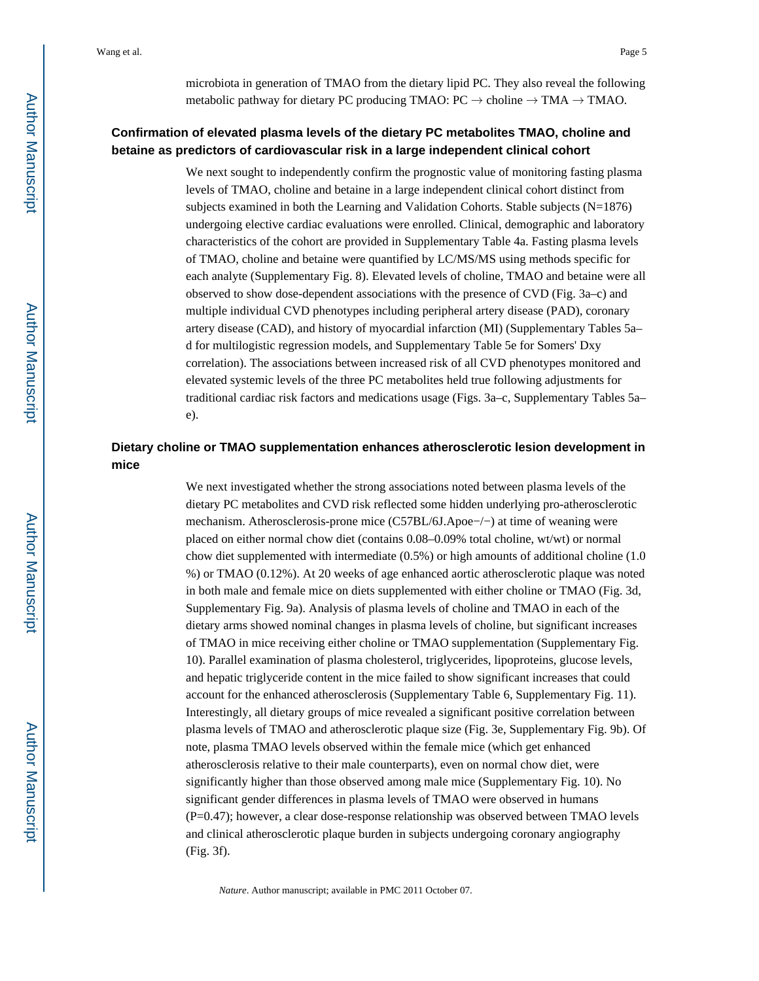microbiota in generation of TMAO from the dietary lipid PC. They also reveal the following metabolic pathway for dietary PC producing TMAO:  $PC \rightarrow$  choline  $\rightarrow$  TMA $\rightarrow$  TMAO.

## **Confirmation of elevated plasma levels of the dietary PC metabolites TMAO, choline and betaine as predictors of cardiovascular risk in a large independent clinical cohort**

We next sought to independently confirm the prognostic value of monitoring fasting plasma levels of TMAO, choline and betaine in a large independent clinical cohort distinct from subjects examined in both the Learning and Validation Cohorts. Stable subjects (N=1876) undergoing elective cardiac evaluations were enrolled. Clinical, demographic and laboratory characteristics of the cohort are provided in Supplementary Table 4a. Fasting plasma levels of TMAO, choline and betaine were quantified by LC/MS/MS using methods specific for each analyte (Supplementary Fig. 8). Elevated levels of choline, TMAO and betaine were all observed to show dose-dependent associations with the presence of CVD (Fig. 3a–c) and multiple individual CVD phenotypes including peripheral artery disease (PAD), coronary artery disease (CAD), and history of myocardial infarction (MI) (Supplementary Tables 5a– d for multilogistic regression models, and Supplementary Table 5e for Somers' Dxy correlation). The associations between increased risk of all CVD phenotypes monitored and elevated systemic levels of the three PC metabolites held true following adjustments for traditional cardiac risk factors and medications usage (Figs. 3a–c, Supplementary Tables 5a– e).

## **Dietary choline or TMAO supplementation enhances atherosclerotic lesion development in mice**

We next investigated whether the strong associations noted between plasma levels of the dietary PC metabolites and CVD risk reflected some hidden underlying pro-atherosclerotic mechanism. Atherosclerosis-prone mice (C57BL/6J.Apoe−/−) at time of weaning were placed on either normal chow diet (contains 0.08–0.09% total choline, wt/wt) or normal chow diet supplemented with intermediate (0.5%) or high amounts of additional choline (1.0 %) or TMAO (0.12%). At 20 weeks of age enhanced aortic atherosclerotic plaque was noted in both male and female mice on diets supplemented with either choline or TMAO (Fig. 3d, Supplementary Fig. 9a). Analysis of plasma levels of choline and TMAO in each of the dietary arms showed nominal changes in plasma levels of choline, but significant increases of TMAO in mice receiving either choline or TMAO supplementation (Supplementary Fig. 10). Parallel examination of plasma cholesterol, triglycerides, lipoproteins, glucose levels, and hepatic triglyceride content in the mice failed to show significant increases that could account for the enhanced atherosclerosis (Supplementary Table 6, Supplementary Fig. 11). Interestingly, all dietary groups of mice revealed a significant positive correlation between plasma levels of TMAO and atherosclerotic plaque size (Fig. 3e, Supplementary Fig. 9b). Of note, plasma TMAO levels observed within the female mice (which get enhanced atherosclerosis relative to their male counterparts), even on normal chow diet, were significantly higher than those observed among male mice (Supplementary Fig. 10). No significant gender differences in plasma levels of TMAO were observed in humans (P=0.47); however, a clear dose-response relationship was observed between TMAO levels and clinical atherosclerotic plaque burden in subjects undergoing coronary angiography (Fig. 3f).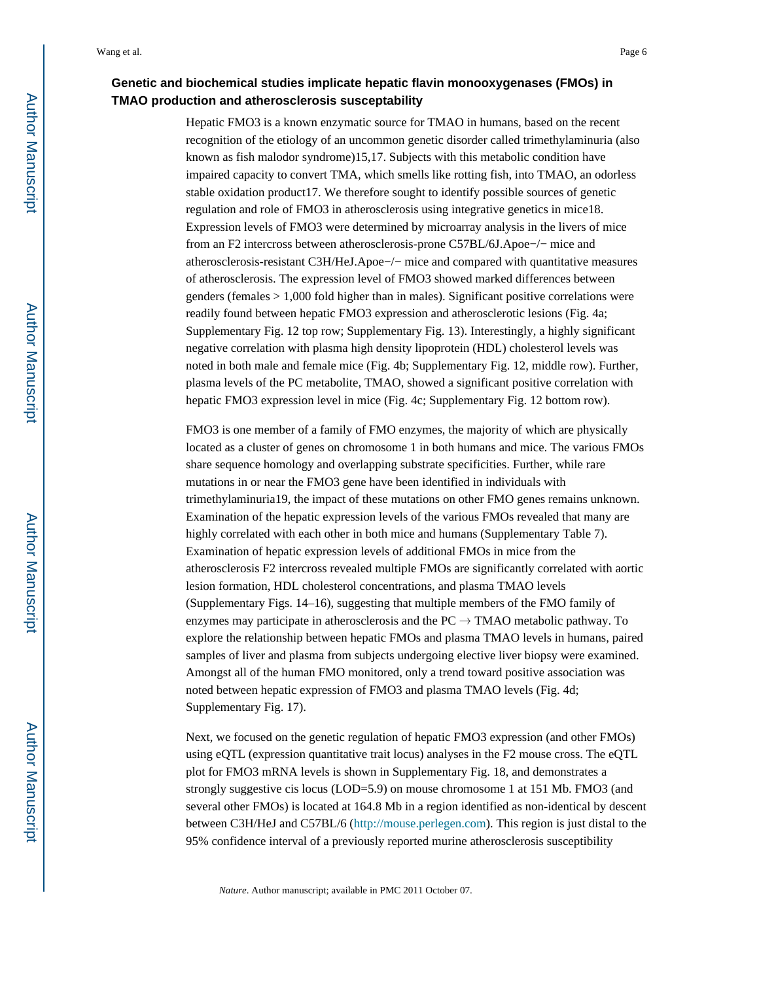## **Genetic and biochemical studies implicate hepatic flavin monooxygenases (FMOs) in TMAO production and atherosclerosis susceptability**

Hepatic FMO3 is a known enzymatic source for TMAO in humans, based on the recent recognition of the etiology of an uncommon genetic disorder called trimethylaminuria (also known as fish malodor syndrome)15,17. Subjects with this metabolic condition have impaired capacity to convert TMA, which smells like rotting fish, into TMAO, an odorless stable oxidation product17. We therefore sought to identify possible sources of genetic regulation and role of FMO3 in atherosclerosis using integrative genetics in mice18. Expression levels of FMO3 were determined by microarray analysis in the livers of mice from an F2 intercross between atherosclerosis-prone C57BL/6J.Apoe−/− mice and atherosclerosis-resistant C3H/HeJ.Apoe−/− mice and compared with quantitative measures of atherosclerosis. The expression level of FMO3 showed marked differences between genders (females > 1,000 fold higher than in males). Significant positive correlations were readily found between hepatic FMO3 expression and atherosclerotic lesions (Fig. 4a; Supplementary Fig. 12 top row; Supplementary Fig. 13). Interestingly, a highly significant negative correlation with plasma high density lipoprotein (HDL) cholesterol levels was noted in both male and female mice (Fig. 4b; Supplementary Fig. 12, middle row). Further, plasma levels of the PC metabolite, TMAO, showed a significant positive correlation with hepatic FMO3 expression level in mice (Fig. 4c; Supplementary Fig. 12 bottom row).

FMO3 is one member of a family of FMO enzymes, the majority of which are physically located as a cluster of genes on chromosome 1 in both humans and mice. The various FMOs share sequence homology and overlapping substrate specificities. Further, while rare mutations in or near the FMO3 gene have been identified in individuals with trimethylaminuria19, the impact of these mutations on other FMO genes remains unknown. Examination of the hepatic expression levels of the various FMOs revealed that many are highly correlated with each other in both mice and humans (Supplementary Table 7). Examination of hepatic expression levels of additional FMOs in mice from the atherosclerosis F2 intercross revealed multiple FMOs are significantly correlated with aortic lesion formation, HDL cholesterol concentrations, and plasma TMAO levels (Supplementary Figs. 14–16), suggesting that multiple members of the FMO family of enzymes may participate in atherosclerosis and the  $PC \rightarrow TMAO$  metabolic pathway. To explore the relationship between hepatic FMOs and plasma TMAO levels in humans, paired samples of liver and plasma from subjects undergoing elective liver biopsy were examined. Amongst all of the human FMO monitored, only a trend toward positive association was noted between hepatic expression of FMO3 and plasma TMAO levels (Fig. 4d; Supplementary Fig. 17).

Next, we focused on the genetic regulation of hepatic FMO3 expression (and other FMOs) using eQTL (expression quantitative trait locus) analyses in the F2 mouse cross. The eQTL plot for FMO3 mRNA levels is shown in Supplementary Fig. 18, and demonstrates a strongly suggestive cis locus (LOD=5.9) on mouse chromosome 1 at 151 Mb. FMO3 (and several other FMOs) is located at 164.8 Mb in a region identified as non-identical by descent between C3H/HeJ and C57BL/6 (<http://mouse.perlegen.com>). This region is just distal to the 95% confidence interval of a previously reported murine atherosclerosis susceptibility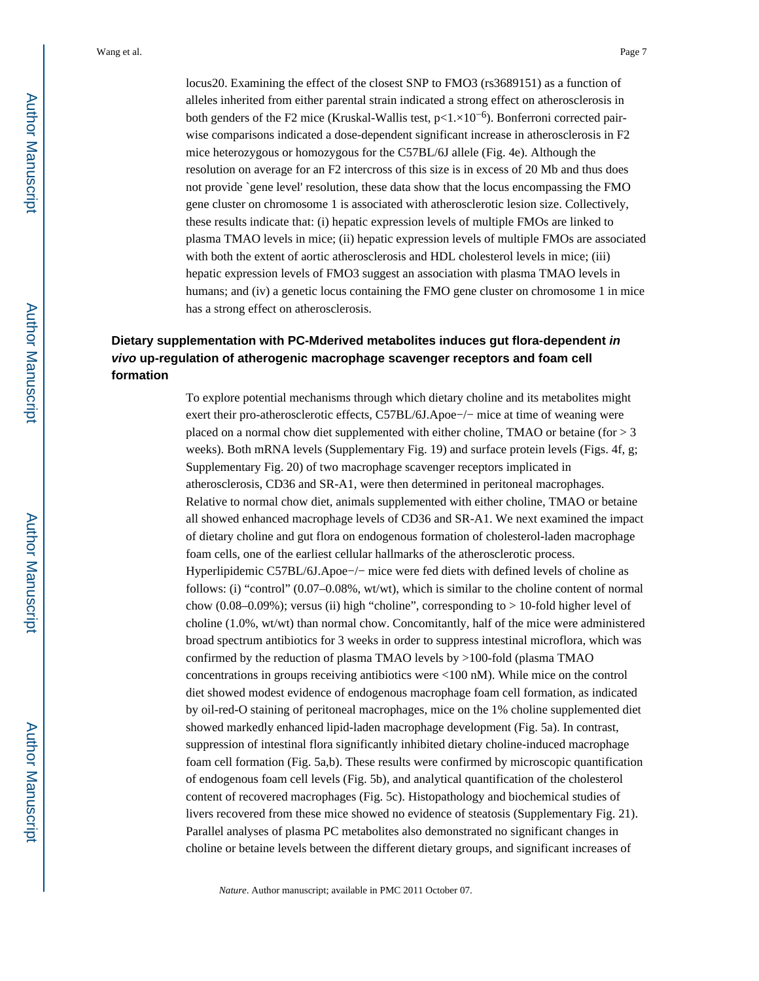locus20. Examining the effect of the closest SNP to FMO3 (rs3689151) as a function of alleles inherited from either parental strain indicated a strong effect on atherosclerosis in both genders of the F2 mice (Kruskal-Wallis test,  $p<1.\times10^{-6}$ ). Bonferroni corrected pairwise comparisons indicated a dose-dependent significant increase in atherosclerosis in F2 mice heterozygous or homozygous for the C57BL/6J allele (Fig. 4e). Although the resolution on average for an F2 intercross of this size is in excess of 20 Mb and thus does not provide `gene level' resolution, these data show that the locus encompassing the FMO gene cluster on chromosome 1 is associated with atherosclerotic lesion size. Collectively, these results indicate that: (i) hepatic expression levels of multiple FMOs are linked to plasma TMAO levels in mice; (ii) hepatic expression levels of multiple FMOs are associated with both the extent of aortic atherosclerosis and HDL cholesterol levels in mice; (iii) hepatic expression levels of FMO3 suggest an association with plasma TMAO levels in humans; and (iv) a genetic locus containing the FMO gene cluster on chromosome 1 in mice has a strong effect on atherosclerosis.

## **Dietary supplementation with PC-Mderived metabolites induces gut flora-dependent in vivo up-regulation of atherogenic macrophage scavenger receptors and foam cell formation**

To explore potential mechanisms through which dietary choline and its metabolites might exert their pro-atherosclerotic effects, C57BL/6J.Apoe−/− mice at time of weaning were placed on a normal chow diet supplemented with either choline, TMAO or betaine (for > 3 weeks). Both mRNA levels (Supplementary Fig. 19) and surface protein levels (Figs. 4f, g; Supplementary Fig. 20) of two macrophage scavenger receptors implicated in atherosclerosis, CD36 and SR-A1, were then determined in peritoneal macrophages. Relative to normal chow diet, animals supplemented with either choline, TMAO or betaine all showed enhanced macrophage levels of CD36 and SR-A1. We next examined the impact of dietary choline and gut flora on endogenous formation of cholesterol-laden macrophage foam cells, one of the earliest cellular hallmarks of the atherosclerotic process. Hyperlipidemic C57BL/6J.Apoe−/− mice were fed diets with defined levels of choline as follows: (i) "control" (0.07–0.08%, wt/wt), which is similar to the choline content of normal chow (0.08–0.09%); versus (ii) high "choline", corresponding to  $> 10$ -fold higher level of choline (1.0%, wt/wt) than normal chow. Concomitantly, half of the mice were administered broad spectrum antibiotics for 3 weeks in order to suppress intestinal microflora, which was confirmed by the reduction of plasma TMAO levels by >100-fold (plasma TMAO concentrations in groups receiving antibiotics were <100 nM). While mice on the control diet showed modest evidence of endogenous macrophage foam cell formation, as indicated by oil-red-O staining of peritoneal macrophages, mice on the 1% choline supplemented diet showed markedly enhanced lipid-laden macrophage development (Fig. 5a). In contrast, suppression of intestinal flora significantly inhibited dietary choline-induced macrophage foam cell formation (Fig. 5a,b). These results were confirmed by microscopic quantification of endogenous foam cell levels (Fig. 5b), and analytical quantification of the cholesterol content of recovered macrophages (Fig. 5c). Histopathology and biochemical studies of livers recovered from these mice showed no evidence of steatosis (Supplementary Fig. 21). Parallel analyses of plasma PC metabolites also demonstrated no significant changes in choline or betaine levels between the different dietary groups, and significant increases of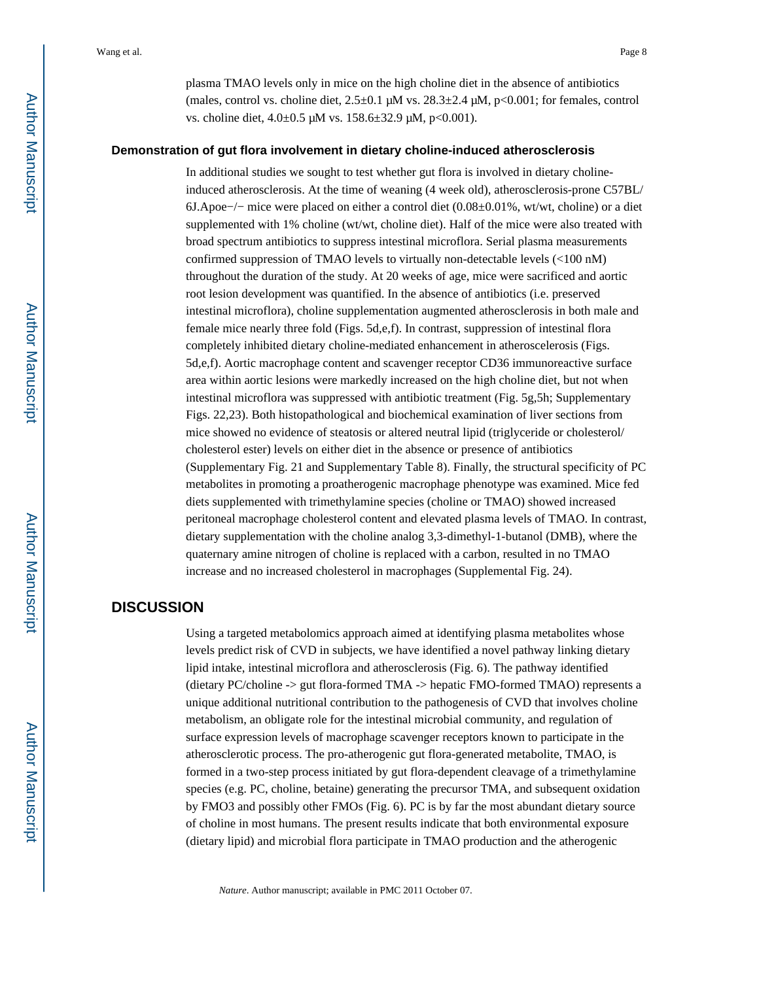plasma TMAO levels only in mice on the high choline diet in the absence of antibiotics (males, control vs. choline diet,  $2.5\pm0.1$   $\mu$ M vs.  $28.3\pm2.4$   $\mu$ M,  $p<0.001$ ; for females, control vs. choline diet,  $4.0\pm0.5$  μM vs.  $158.6\pm32.9$  μM, p<0.001).

#### **Demonstration of gut flora involvement in dietary choline-induced atherosclerosis**

In additional studies we sought to test whether gut flora is involved in dietary cholineinduced atherosclerosis. At the time of weaning (4 week old), atherosclerosis-prone C57BL/ 6J.Apoe−/− mice were placed on either a control diet (0.08±0.01%, wt/wt, choline) or a diet supplemented with 1% choline (wt/wt, choline diet). Half of the mice were also treated with broad spectrum antibiotics to suppress intestinal microflora. Serial plasma measurements confirmed suppression of TMAO levels to virtually non-detectable levels (<100 nM) throughout the duration of the study. At 20 weeks of age, mice were sacrificed and aortic root lesion development was quantified. In the absence of antibiotics (i.e. preserved intestinal microflora), choline supplementation augmented atherosclerosis in both male and female mice nearly three fold (Figs. 5d,e,f). In contrast, suppression of intestinal flora completely inhibited dietary choline-mediated enhancement in atheroscelerosis (Figs. 5d,e,f). Aortic macrophage content and scavenger receptor CD36 immunoreactive surface area within aortic lesions were markedly increased on the high choline diet, but not when intestinal microflora was suppressed with antibiotic treatment (Fig. 5g,5h; Supplementary Figs. 22,23). Both histopathological and biochemical examination of liver sections from mice showed no evidence of steatosis or altered neutral lipid (triglyceride or cholesterol/ cholesterol ester) levels on either diet in the absence or presence of antibiotics (Supplementary Fig. 21 and Supplementary Table 8). Finally, the structural specificity of PC metabolites in promoting a proatherogenic macrophage phenotype was examined. Mice fed diets supplemented with trimethylamine species (choline or TMAO) showed increased peritoneal macrophage cholesterol content and elevated plasma levels of TMAO. In contrast, dietary supplementation with the choline analog 3,3-dimethyl-1-butanol (DMB), where the quaternary amine nitrogen of choline is replaced with a carbon, resulted in no TMAO increase and no increased cholesterol in macrophages (Supplemental Fig. 24).

## **DISCUSSION**

Using a targeted metabolomics approach aimed at identifying plasma metabolites whose levels predict risk of CVD in subjects, we have identified a novel pathway linking dietary lipid intake, intestinal microflora and atherosclerosis (Fig. 6). The pathway identified (dietary PC/choline -> gut flora-formed TMA -> hepatic FMO-formed TMAO) represents a unique additional nutritional contribution to the pathogenesis of CVD that involves choline metabolism, an obligate role for the intestinal microbial community, and regulation of surface expression levels of macrophage scavenger receptors known to participate in the atherosclerotic process. The pro-atherogenic gut flora-generated metabolite, TMAO, is formed in a two-step process initiated by gut flora-dependent cleavage of a trimethylamine species (e.g. PC, choline, betaine) generating the precursor TMA, and subsequent oxidation by FMO3 and possibly other FMOs (Fig. 6). PC is by far the most abundant dietary source of choline in most humans. The present results indicate that both environmental exposure (dietary lipid) and microbial flora participate in TMAO production and the atherogenic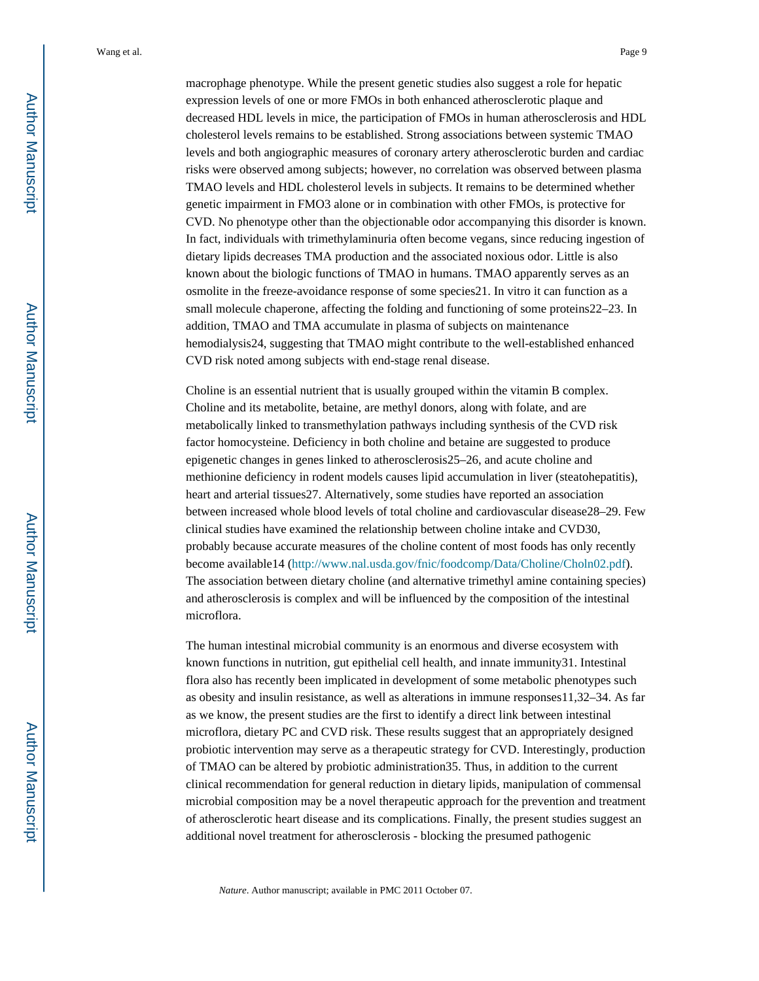macrophage phenotype. While the present genetic studies also suggest a role for hepatic expression levels of one or more FMOs in both enhanced atherosclerotic plaque and decreased HDL levels in mice, the participation of FMOs in human atherosclerosis and HDL cholesterol levels remains to be established. Strong associations between systemic TMAO levels and both angiographic measures of coronary artery atherosclerotic burden and cardiac risks were observed among subjects; however, no correlation was observed between plasma TMAO levels and HDL cholesterol levels in subjects. It remains to be determined whether genetic impairment in FMO3 alone or in combination with other FMOs, is protective for CVD. No phenotype other than the objectionable odor accompanying this disorder is known. In fact, individuals with trimethylaminuria often become vegans, since reducing ingestion of dietary lipids decreases TMA production and the associated noxious odor. Little is also known about the biologic functions of TMAO in humans. TMAO apparently serves as an osmolite in the freeze-avoidance response of some species21. In vitro it can function as a small molecule chaperone, affecting the folding and functioning of some proteins22–23. In addition, TMAO and TMA accumulate in plasma of subjects on maintenance hemodialysis24, suggesting that TMAO might contribute to the well-established enhanced CVD risk noted among subjects with end-stage renal disease.

Choline is an essential nutrient that is usually grouped within the vitamin B complex. Choline and its metabolite, betaine, are methyl donors, along with folate, and are metabolically linked to transmethylation pathways including synthesis of the CVD risk factor homocysteine. Deficiency in both choline and betaine are suggested to produce epigenetic changes in genes linked to atherosclerosis25–26, and acute choline and methionine deficiency in rodent models causes lipid accumulation in liver (steatohepatitis), heart and arterial tissues27. Alternatively, some studies have reported an association between increased whole blood levels of total choline and cardiovascular disease28–29. Few clinical studies have examined the relationship between choline intake and CVD30, probably because accurate measures of the choline content of most foods has only recently become available14 ([http://www.nal.usda.gov/fnic/foodcomp/Data/Choline/Choln02.pdf\)](http://www.nal.usda.gov/fnic/foodcomp/Data/Choline/Choln02.pdf). The association between dietary choline (and alternative trimethyl amine containing species) and atherosclerosis is complex and will be influenced by the composition of the intestinal microflora.

The human intestinal microbial community is an enormous and diverse ecosystem with known functions in nutrition, gut epithelial cell health, and innate immunity31. Intestinal flora also has recently been implicated in development of some metabolic phenotypes such as obesity and insulin resistance, as well as alterations in immune responses11,32–34. As far as we know, the present studies are the first to identify a direct link between intestinal microflora, dietary PC and CVD risk. These results suggest that an appropriately designed probiotic intervention may serve as a therapeutic strategy for CVD. Interestingly, production of TMAO can be altered by probiotic administration35. Thus, in addition to the current clinical recommendation for general reduction in dietary lipids, manipulation of commensal microbial composition may be a novel therapeutic approach for the prevention and treatment of atherosclerotic heart disease and its complications. Finally, the present studies suggest an additional novel treatment for atherosclerosis - blocking the presumed pathogenic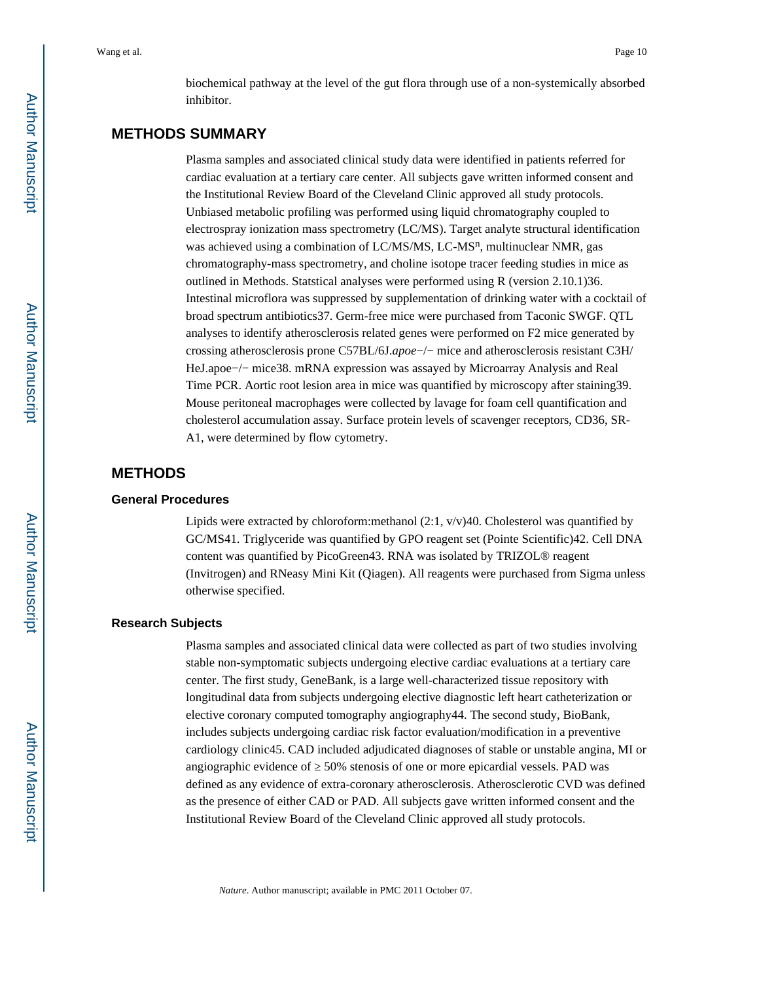biochemical pathway at the level of the gut flora through use of a non-systemically absorbed inhibitor.

## **METHODS SUMMARY**

Plasma samples and associated clinical study data were identified in patients referred for cardiac evaluation at a tertiary care center. All subjects gave written informed consent and the Institutional Review Board of the Cleveland Clinic approved all study protocols. Unbiased metabolic profiling was performed using liquid chromatography coupled to electrospray ionization mass spectrometry (LC/MS). Target analyte structural identification was achieved using a combination of LC/MS/MS, LC-MS<sup>n</sup>, multinuclear NMR, gas chromatography-mass spectrometry, and choline isotope tracer feeding studies in mice as outlined in Methods. Statstical analyses were performed using R (version 2.10.1)36. Intestinal microflora was suppressed by supplementation of drinking water with a cocktail of broad spectrum antibiotics37. Germ-free mice were purchased from Taconic SWGF. QTL analyses to identify atherosclerosis related genes were performed on F2 mice generated by crossing atherosclerosis prone C57BL/6J.*apoe*−/− mice and atherosclerosis resistant C3H/ HeJ.apoe−/− mice38. mRNA expression was assayed by Microarray Analysis and Real Time PCR. Aortic root lesion area in mice was quantified by microscopy after staining39. Mouse peritoneal macrophages were collected by lavage for foam cell quantification and cholesterol accumulation assay. Surface protein levels of scavenger receptors, CD36, SR-A1, were determined by flow cytometry.

## **METHODS**

#### **General Procedures**

Lipids were extracted by chloroform:methanol  $(2:1, v/v)40$ . Cholesterol was quantified by GC/MS41. Triglyceride was quantified by GPO reagent set (Pointe Scientific)42. Cell DNA content was quantified by PicoGreen43. RNA was isolated by TRIZOL® reagent (Invitrogen) and RNeasy Mini Kit (Qiagen). All reagents were purchased from Sigma unless otherwise specified.

#### **Research Subjects**

Plasma samples and associated clinical data were collected as part of two studies involving stable non-symptomatic subjects undergoing elective cardiac evaluations at a tertiary care center. The first study, GeneBank, is a large well-characterized tissue repository with longitudinal data from subjects undergoing elective diagnostic left heart catheterization or elective coronary computed tomography angiography44. The second study, BioBank, includes subjects undergoing cardiac risk factor evaluation/modification in a preventive cardiology clinic45. CAD included adjudicated diagnoses of stable or unstable angina, MI or angiographic evidence of 50% stenosis of one or more epicardial vessels. PAD was defined as any evidence of extra-coronary atherosclerosis. Atherosclerotic CVD was defined as the presence of either CAD or PAD. All subjects gave written informed consent and the Institutional Review Board of the Cleveland Clinic approved all study protocols.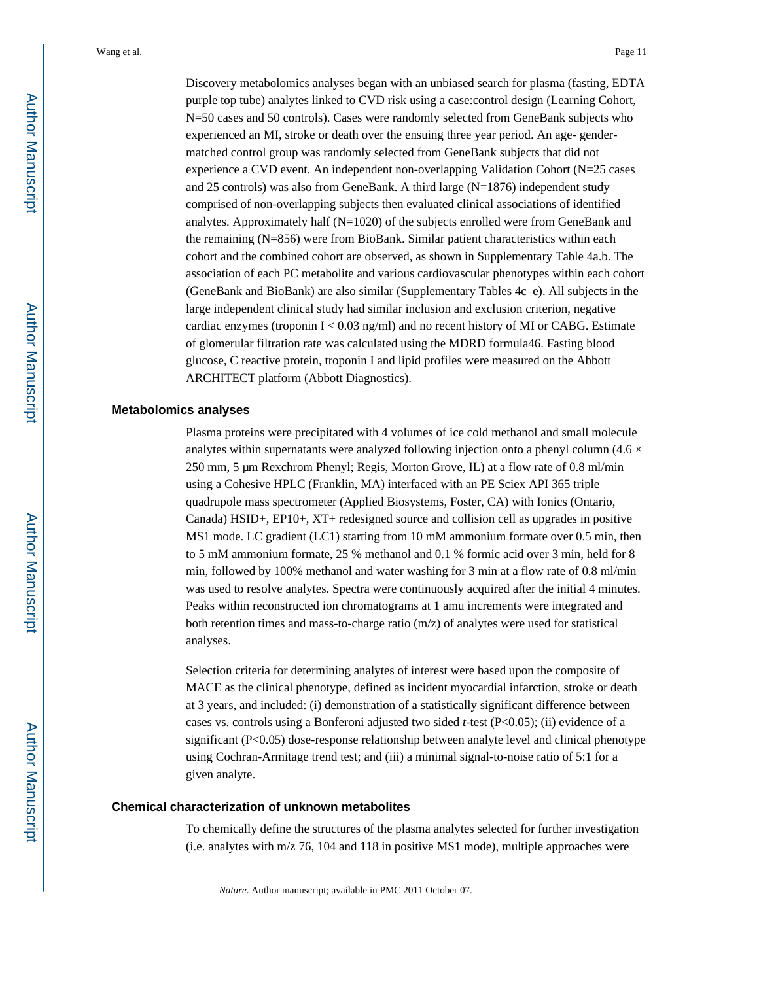Discovery metabolomics analyses began with an unbiased search for plasma (fasting, EDTA purple top tube) analytes linked to CVD risk using a case:control design (Learning Cohort, N=50 cases and 50 controls). Cases were randomly selected from GeneBank subjects who experienced an MI, stroke or death over the ensuing three year period. An age- gendermatched control group was randomly selected from GeneBank subjects that did not experience a CVD event. An independent non-overlapping Validation Cohort (N=25 cases and 25 controls) was also from GeneBank. A third large (N=1876) independent study comprised of non-overlapping subjects then evaluated clinical associations of identified analytes. Approximately half  $(N=1020)$  of the subjects enrolled were from GeneBank and the remaining (N=856) were from BioBank. Similar patient characteristics within each cohort and the combined cohort are observed, as shown in Supplementary Table 4a.b. The association of each PC metabolite and various cardiovascular phenotypes within each cohort (GeneBank and BioBank) are also similar (Supplementary Tables 4c–e). All subjects in the large independent clinical study had similar inclusion and exclusion criterion, negative cardiac enzymes (troponin  $I < 0.03$  ng/ml) and no recent history of MI or CABG. Estimate of glomerular filtration rate was calculated using the MDRD formula46. Fasting blood glucose, C reactive protein, troponin I and lipid profiles were measured on the Abbott ARCHITECT platform (Abbott Diagnostics).

#### **Metabolomics analyses**

Plasma proteins were precipitated with 4 volumes of ice cold methanol and small molecule analytes within supernatants were analyzed following injection onto a phenyl column (4.6  $\times$ 250 mm, 5 μm Rexchrom Phenyl; Regis, Morton Grove, IL) at a flow rate of 0.8 ml/min using a Cohesive HPLC (Franklin, MA) interfaced with an PE Sciex API 365 triple quadrupole mass spectrometer (Applied Biosystems, Foster, CA) with Ionics (Ontario, Canada) HSID+, EP10+, XT+ redesigned source and collision cell as upgrades in positive MS1 mode. LC gradient (LC1) starting from 10 mM ammonium formate over 0.5 min, then to 5 mM ammonium formate, 25 % methanol and 0.1 % formic acid over 3 min, held for 8 min, followed by 100% methanol and water washing for 3 min at a flow rate of 0.8 ml/min was used to resolve analytes. Spectra were continuously acquired after the initial 4 minutes. Peaks within reconstructed ion chromatograms at 1 amu increments were integrated and both retention times and mass-to-charge ratio (m/z) of analytes were used for statistical analyses.

Selection criteria for determining analytes of interest were based upon the composite of MACE as the clinical phenotype, defined as incident myocardial infarction, stroke or death at 3 years, and included: (i) demonstration of a statistically significant difference between cases vs. controls using a Bonferoni adjusted two sided *t*-test (P<0.05); (ii) evidence of a significant (P<0.05) dose-response relationship between analyte level and clinical phenotype using Cochran-Armitage trend test; and (iii) a minimal signal-to-noise ratio of 5:1 for a given analyte.

#### **Chemical characterization of unknown metabolites**

To chemically define the structures of the plasma analytes selected for further investigation (i.e. analytes with  $m/z$  76, 104 and 118 in positive MS1 mode), multiple approaches were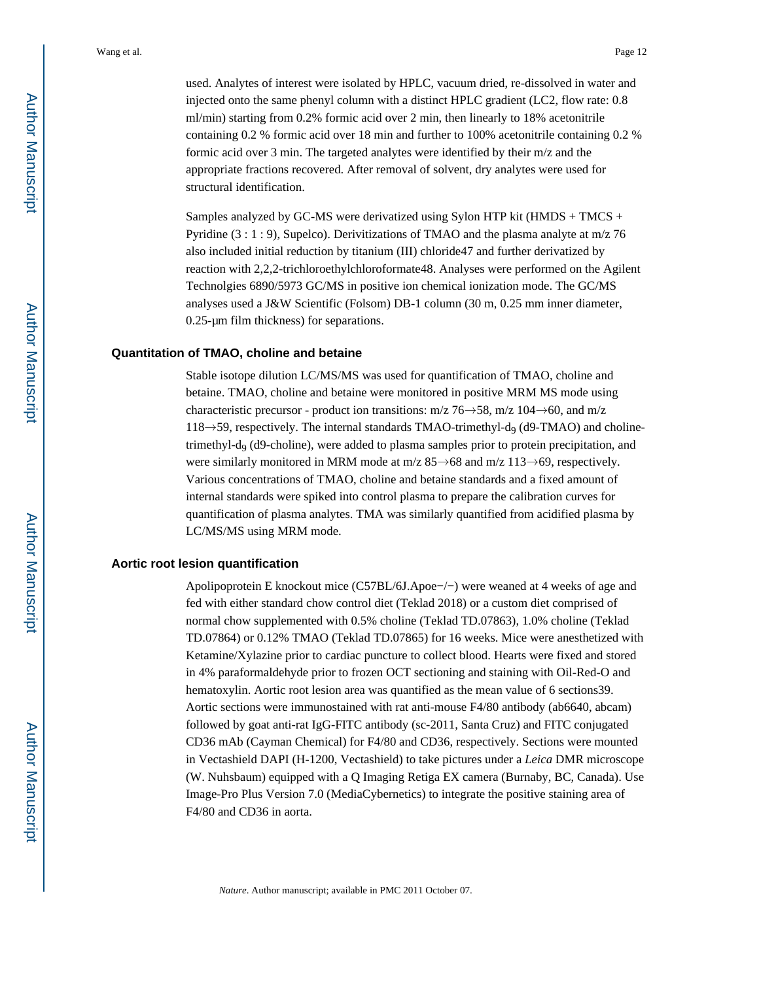used. Analytes of interest were isolated by HPLC, vacuum dried, re-dissolved in water and injected onto the same phenyl column with a distinct HPLC gradient (LC2, flow rate: 0.8 ml/min) starting from 0.2% formic acid over 2 min, then linearly to 18% acetonitrile containing 0.2 % formic acid over 18 min and further to 100% acetonitrile containing 0.2 % formic acid over 3 min. The targeted analytes were identified by their m/z and the appropriate fractions recovered. After removal of solvent, dry analytes were used for structural identification.

Samples analyzed by GC-MS were derivatized using Sylon HTP kit (HMDS + TMCS + Pyridine (3 : 1 : 9), Supelco). Derivitizations of TMAO and the plasma analyte at m/z 76 also included initial reduction by titanium (III) chloride47 and further derivatized by reaction with 2,2,2-trichloroethylchloroformate48. Analyses were performed on the Agilent Technolgies 6890/5973 GC/MS in positive ion chemical ionization mode. The GC/MS analyses used a J&W Scientific (Folsom) DB-1 column (30 m, 0.25 mm inner diameter, 0.25-μm film thickness) for separations.

#### **Quantitation of TMAO, choline and betaine**

Stable isotope dilution LC/MS/MS was used for quantification of TMAO, choline and betaine. TMAO, choline and betaine were monitored in positive MRM MS mode using characteristic precursor - product ion transitions: m/z  $76\rightarrow 58$ , m/z  $104\rightarrow 60$ , and m/z  $118 \rightarrow 59$ , respectively. The internal standards TMAO-trimethyl-d<sub>9</sub> (d9-TMAO) and cholinetrimethyl-d9 (d9-choline), were added to plasma samples prior to protein precipitation, and were similarly monitored in MRM mode at m/z 85→68 and m/z 113→69, respectively. Various concentrations of TMAO, choline and betaine standards and a fixed amount of internal standards were spiked into control plasma to prepare the calibration curves for quantification of plasma analytes. TMA was similarly quantified from acidified plasma by LC/MS/MS using MRM mode.

#### **Aortic root lesion quantification**

Apolipoprotein E knockout mice (C57BL/6J.Apoe−/−) were weaned at 4 weeks of age and fed with either standard chow control diet (Teklad 2018) or a custom diet comprised of normal chow supplemented with 0.5% choline (Teklad TD.07863), 1.0% choline (Teklad TD.07864) or 0.12% TMAO (Teklad TD.07865) for 16 weeks. Mice were anesthetized with Ketamine/Xylazine prior to cardiac puncture to collect blood. Hearts were fixed and stored in 4% paraformaldehyde prior to frozen OCT sectioning and staining with Oil-Red-O and hematoxylin. Aortic root lesion area was quantified as the mean value of 6 sections39. Aortic sections were immunostained with rat anti-mouse F4/80 antibody (ab6640, abcam) followed by goat anti-rat IgG-FITC antibody (sc-2011, Santa Cruz) and FITC conjugated CD36 mAb (Cayman Chemical) for F4/80 and CD36, respectively. Sections were mounted in Vectashield DAPI (H-1200, Vectashield) to take pictures under a *Leica* DMR microscope (W. Nuhsbaum) equipped with a Q Imaging Retiga EX camera (Burnaby, BC, Canada). Use Image-Pro Plus Version 7.0 (MediaCybernetics) to integrate the positive staining area of F4/80 and CD36 in aorta.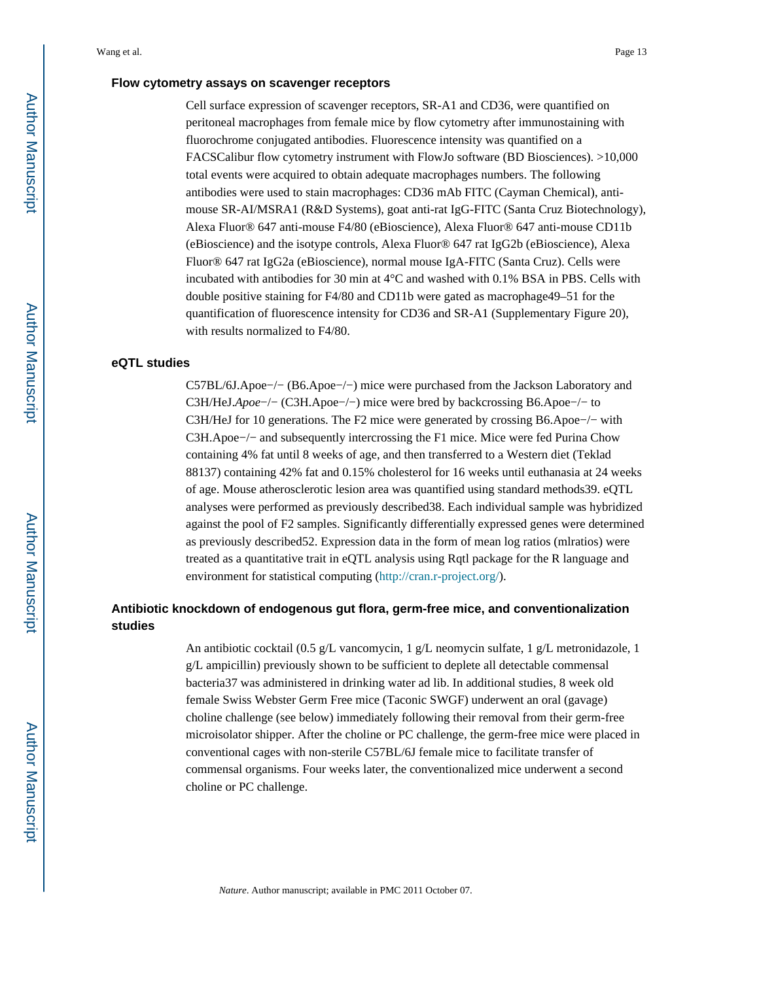## **Flow cytometry assays on scavenger receptors**

Cell surface expression of scavenger receptors, SR-A1 and CD36, were quantified on peritoneal macrophages from female mice by flow cytometry after immunostaining with fluorochrome conjugated antibodies. Fluorescence intensity was quantified on a FACSCalibur flow cytometry instrument with FlowJo software (BD Biosciences). >10,000 total events were acquired to obtain adequate macrophages numbers. The following antibodies were used to stain macrophages: CD36 mAb FITC (Cayman Chemical), antimouse SR-AI/MSRA1 (R&D Systems), goat anti-rat IgG-FITC (Santa Cruz Biotechnology), Alexa Fluor® 647 anti-mouse F4/80 (eBioscience), Alexa Fluor® 647 anti-mouse CD11b (eBioscience) and the isotype controls, Alexa Fluor® 647 rat IgG2b (eBioscience), Alexa Fluor® 647 rat IgG2a (eBioscience), normal mouse IgA-FITC (Santa Cruz). Cells were incubated with antibodies for 30 min at 4°C and washed with 0.1% BSA in PBS. Cells with double positive staining for F4/80 and CD11b were gated as macrophage49–51 for the quantification of fluorescence intensity for CD36 and SR-A1 (Supplementary Figure 20), with results normalized to F4/80.

#### **eQTL studies**

C57BL/6J.Apoe−/− (B6.Apoe−/−) mice were purchased from the Jackson Laboratory and C3H/HeJ.*Apoe*−/− (C3H.Apoe−/−) mice were bred by backcrossing B6.Apoe−/− to C3H/HeJ for 10 generations. The F2 mice were generated by crossing B6.Apoe−/− with C3H.Apoe−/− and subsequently intercrossing the F1 mice. Mice were fed Purina Chow containing 4% fat until 8 weeks of age, and then transferred to a Western diet (Teklad 88137) containing 42% fat and 0.15% cholesterol for 16 weeks until euthanasia at 24 weeks of age. Mouse atherosclerotic lesion area was quantified using standard methods39. eQTL analyses were performed as previously described38. Each individual sample was hybridized against the pool of F2 samples. Significantly differentially expressed genes were determined as previously described52. Expression data in the form of mean log ratios (mlratios) were treated as a quantitative trait in eQTL analysis using Rqtl package for the R language and environment for statistical computing [\(http://cran.r-project.org/\)](http://cran.r-project.org/).

## **Antibiotic knockdown of endogenous gut flora, germ-free mice, and conventionalization studies**

An antibiotic cocktail (0.5 g/L vancomycin, 1 g/L neomycin sulfate, 1 g/L metronidazole, 1 g/L ampicillin) previously shown to be sufficient to deplete all detectable commensal bacteria37 was administered in drinking water ad lib. In additional studies, 8 week old female Swiss Webster Germ Free mice (Taconic SWGF) underwent an oral (gavage) choline challenge (see below) immediately following their removal from their germ-free microisolator shipper. After the choline or PC challenge, the germ-free mice were placed in conventional cages with non-sterile C57BL/6J female mice to facilitate transfer of commensal organisms. Four weeks later, the conventionalized mice underwent a second choline or PC challenge.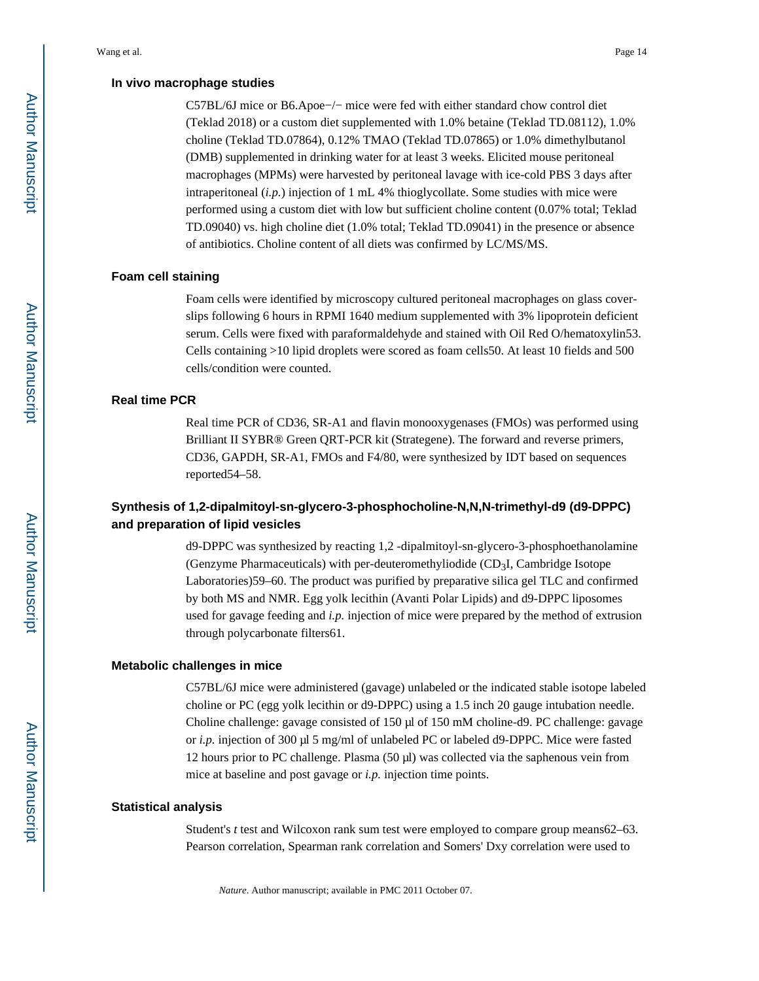C57BL/6J mice or B6.Apoe−/− mice were fed with either standard chow control diet (Teklad 2018) or a custom diet supplemented with 1.0% betaine (Teklad TD.08112), 1.0% choline (Teklad TD.07864), 0.12% TMAO (Teklad TD.07865) or 1.0% dimethylbutanol (DMB) supplemented in drinking water for at least 3 weeks. Elicited mouse peritoneal macrophages (MPMs) were harvested by peritoneal lavage with ice-cold PBS 3 days after intraperitoneal (*i.p.*) injection of 1 mL 4% thioglycollate. Some studies with mice were performed using a custom diet with low but sufficient choline content (0.07% total; Teklad TD.09040) vs. high choline diet (1.0% total; Teklad TD.09041) in the presence or absence of antibiotics. Choline content of all diets was confirmed by LC/MS/MS.

#### **Foam cell staining**

Foam cells were identified by microscopy cultured peritoneal macrophages on glass coverslips following 6 hours in RPMI 1640 medium supplemented with 3% lipoprotein deficient serum. Cells were fixed with paraformaldehyde and stained with Oil Red O/hematoxylin53. Cells containing >10 lipid droplets were scored as foam cells50. At least 10 fields and 500 cells/condition were counted.

#### **Real time PCR**

Real time PCR of CD36, SR-A1 and flavin monooxygenases (FMOs) was performed using Brilliant II SYBR® Green QRT-PCR kit (Strategene). The forward and reverse primers, CD36, GAPDH, SR-A1, FMOs and F4/80, were synthesized by IDT based on sequences reported54–58.

## **Synthesis of 1,2-dipalmitoyl-sn-glycero-3-phosphocholine-N,N,N-trimethyl-d9 (d9-DPPC) and preparation of lipid vesicles**

d9-DPPC was synthesized by reacting 1,2 -dipalmitoyl-sn-glycero-3-phosphoethanolamine (Genzyme Pharmaceuticals) with per-deuteromethyliodide  $(CD<sub>3</sub>I, Cambridge Isotope$ Laboratories)59–60. The product was purified by preparative silica gel TLC and confirmed by both MS and NMR. Egg yolk lecithin (Avanti Polar Lipids) and d9-DPPC liposomes used for gavage feeding and *i.p.* injection of mice were prepared by the method of extrusion through polycarbonate filters61.

#### **Metabolic challenges in mice**

C57BL/6J mice were administered (gavage) unlabeled or the indicated stable isotope labeled choline or PC (egg yolk lecithin or d9-DPPC) using a 1.5 inch 20 gauge intubation needle. Choline challenge: gavage consisted of 150 μl of 150 mM choline-d9. PC challenge: gavage or *i.p.* injection of 300 μl 5 mg/ml of unlabeled PC or labeled d9-DPPC. Mice were fasted 12 hours prior to PC challenge. Plasma (50 μl) was collected via the saphenous vein from mice at baseline and post gavage or *i.p.* injection time points.

#### **Statistical analysis**

Student's *t* test and Wilcoxon rank sum test were employed to compare group means62–63. Pearson correlation, Spearman rank correlation and Somers' Dxy correlation were used to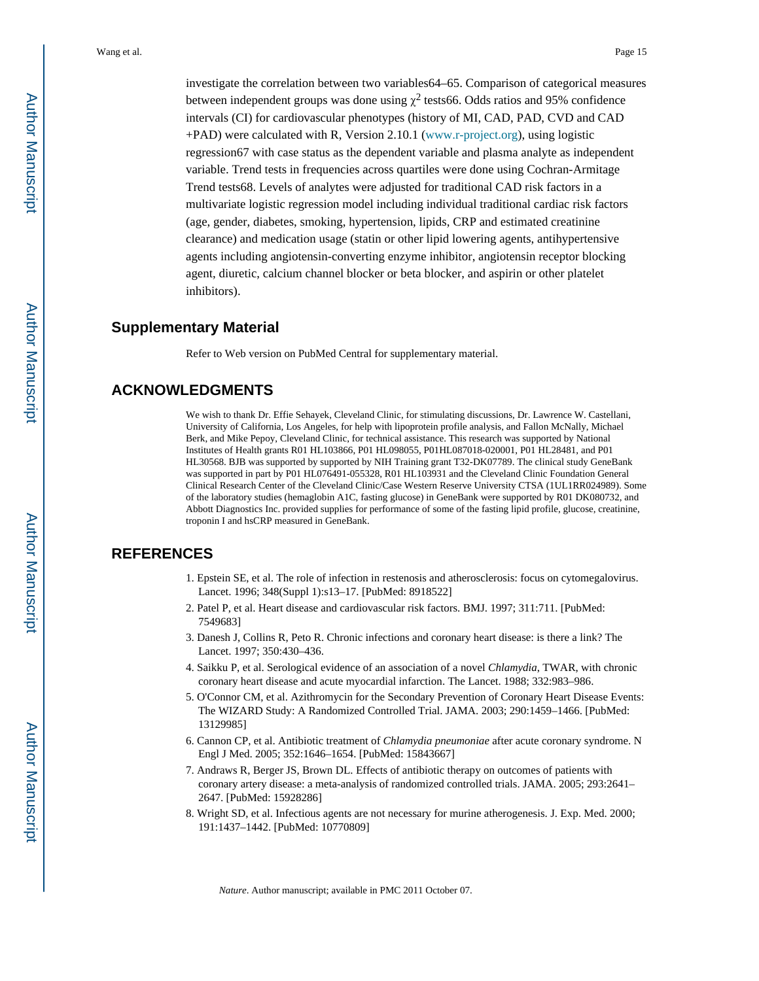investigate the correlation between two variables64–65. Comparison of categorical measures between independent groups was done using  $\chi^2$  tests 66. Odds ratios and 95% confidence intervals (CI) for cardiovascular phenotypes (history of MI, CAD, PAD, CVD and CAD +PAD) were calculated with R, Version 2.10.1 [\(www.r-project.org\)](http://www.r-project.org), using logistic regression67 with case status as the dependent variable and plasma analyte as independent variable. Trend tests in frequencies across quartiles were done using Cochran-Armitage Trend tests68. Levels of analytes were adjusted for traditional CAD risk factors in a multivariate logistic regression model including individual traditional cardiac risk factors (age, gender, diabetes, smoking, hypertension, lipids, CRP and estimated creatinine clearance) and medication usage (statin or other lipid lowering agents, antihypertensive agents including angiotensin-converting enzyme inhibitor, angiotensin receptor blocking agent, diuretic, calcium channel blocker or beta blocker, and aspirin or other platelet inhibitors).

## **Supplementary Material**

Refer to Web version on PubMed Central for supplementary material.

## **ACKNOWLEDGMENTS**

We wish to thank Dr. Effie Sehayek, Cleveland Clinic, for stimulating discussions, Dr. Lawrence W. Castellani, University of California, Los Angeles, for help with lipoprotein profile analysis, and Fallon McNally, Michael Berk, and Mike Pepoy, Cleveland Clinic, for technical assistance. This research was supported by National Institutes of Health grants R01 HL103866, P01 HL098055, P01HL087018-020001, P01 HL28481, and P01 HL30568. BJB was supported by supported by NIH Training grant T32-DK07789. The clinical study GeneBank was supported in part by P01 HL076491-055328, R01 HL103931 and the Cleveland Clinic Foundation General Clinical Research Center of the Cleveland Clinic/Case Western Reserve University CTSA (1UL1RR024989). Some of the laboratory studies (hemaglobin A1C, fasting glucose) in GeneBank were supported by R01 DK080732, and Abbott Diagnostics Inc. provided supplies for performance of some of the fasting lipid profile, glucose, creatinine, troponin I and hsCRP measured in GeneBank.

## **REFERENCES**

- 1. Epstein SE, et al. The role of infection in restenosis and atherosclerosis: focus on cytomegalovirus. Lancet. 1996; 348(Suppl 1):s13–17. [PubMed: 8918522]
- 2. Patel P, et al. Heart disease and cardiovascular risk factors. BMJ. 1997; 311:711. [PubMed: 7549683]
- 3. Danesh J, Collins R, Peto R. Chronic infections and coronary heart disease: is there a link? The Lancet. 1997; 350:430–436.
- 4. Saikku P, et al. Serological evidence of an association of a novel *Chlamydia*, TWAR, with chronic coronary heart disease and acute myocardial infarction. The Lancet. 1988; 332:983–986.
- 5. O'Connor CM, et al. Azithromycin for the Secondary Prevention of Coronary Heart Disease Events: The WIZARD Study: A Randomized Controlled Trial. JAMA. 2003; 290:1459–1466. [PubMed: 13129985]
- 6. Cannon CP, et al. Antibiotic treatment of *Chlamydia pneumoniae* after acute coronary syndrome. N Engl J Med. 2005; 352:1646–1654. [PubMed: 15843667]
- 7. Andraws R, Berger JS, Brown DL. Effects of antibiotic therapy on outcomes of patients with coronary artery disease: a meta-analysis of randomized controlled trials. JAMA. 2005; 293:2641– 2647. [PubMed: 15928286]
- 8. Wright SD, et al. Infectious agents are not necessary for murine atherogenesis. J. Exp. Med. 2000; 191:1437–1442. [PubMed: 10770809]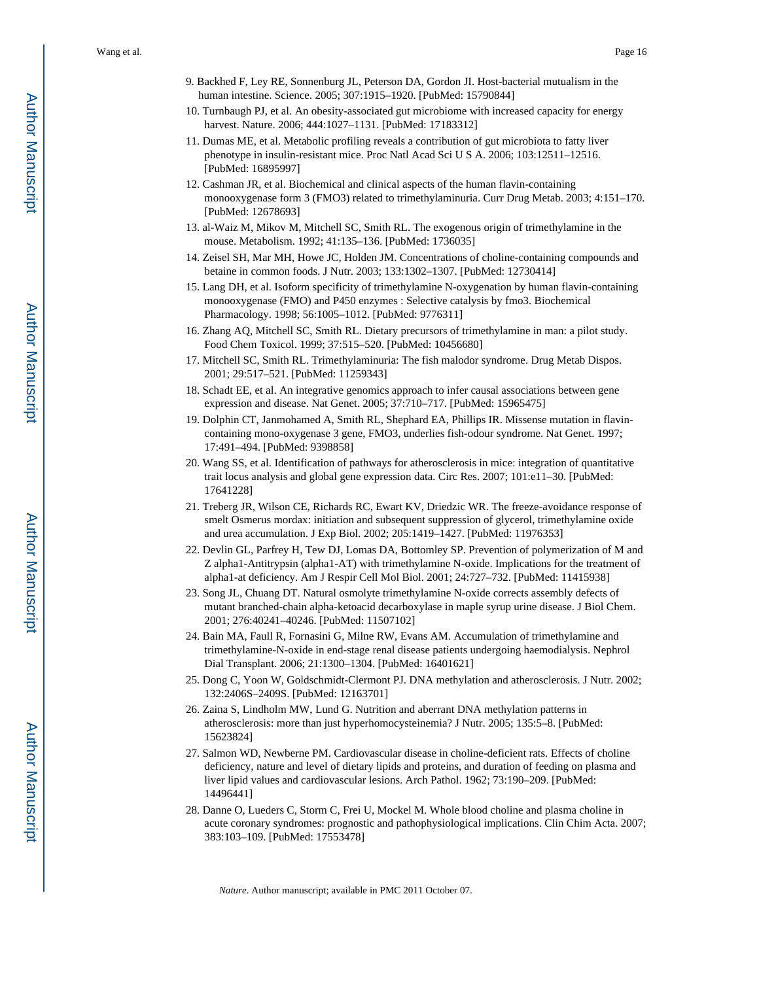- 9. Backhed F, Ley RE, Sonnenburg JL, Peterson DA, Gordon JI. Host-bacterial mutualism in the human intestine. Science. 2005; 307:1915–1920. [PubMed: 15790844]
- 10. Turnbaugh PJ, et al. An obesity-associated gut microbiome with increased capacity for energy harvest. Nature. 2006; 444:1027–1131. [PubMed: 17183312]
- 11. Dumas ME, et al. Metabolic profiling reveals a contribution of gut microbiota to fatty liver phenotype in insulin-resistant mice. Proc Natl Acad Sci U S A. 2006; 103:12511–12516. [PubMed: 16895997]
- 12. Cashman JR, et al. Biochemical and clinical aspects of the human flavin-containing monooxygenase form 3 (FMO3) related to trimethylaminuria. Curr Drug Metab. 2003; 4:151–170. [PubMed: 12678693]
- 13. al-Waiz M, Mikov M, Mitchell SC, Smith RL. The exogenous origin of trimethylamine in the mouse. Metabolism. 1992; 41:135–136. [PubMed: 1736035]
- 14. Zeisel SH, Mar MH, Howe JC, Holden JM. Concentrations of choline-containing compounds and betaine in common foods. J Nutr. 2003; 133:1302–1307. [PubMed: 12730414]
- 15. Lang DH, et al. Isoform specificity of trimethylamine N-oxygenation by human flavin-containing monooxygenase (FMO) and P450 enzymes : Selective catalysis by fmo3. Biochemical Pharmacology. 1998; 56:1005–1012. [PubMed: 9776311]
- 16. Zhang AQ, Mitchell SC, Smith RL. Dietary precursors of trimethylamine in man: a pilot study. Food Chem Toxicol. 1999; 37:515–520. [PubMed: 10456680]
- 17. Mitchell SC, Smith RL. Trimethylaminuria: The fish malodor syndrome. Drug Metab Dispos. 2001; 29:517–521. [PubMed: 11259343]
- 18. Schadt EE, et al. An integrative genomics approach to infer causal associations between gene expression and disease. Nat Genet. 2005; 37:710–717. [PubMed: 15965475]
- 19. Dolphin CT, Janmohamed A, Smith RL, Shephard EA, Phillips IR. Missense mutation in flavincontaining mono-oxygenase 3 gene, FMO3, underlies fish-odour syndrome. Nat Genet. 1997; 17:491–494. [PubMed: 9398858]
- 20. Wang SS, et al. Identification of pathways for atherosclerosis in mice: integration of quantitative trait locus analysis and global gene expression data. Circ Res. 2007; 101:e11–30. [PubMed: 17641228]
- 21. Treberg JR, Wilson CE, Richards RC, Ewart KV, Driedzic WR. The freeze-avoidance response of smelt Osmerus mordax: initiation and subsequent suppression of glycerol, trimethylamine oxide and urea accumulation. J Exp Biol. 2002; 205:1419–1427. [PubMed: 11976353]
- 22. Devlin GL, Parfrey H, Tew DJ, Lomas DA, Bottomley SP. Prevention of polymerization of M and Z alpha1-Antitrypsin (alpha1-AT) with trimethylamine N-oxide. Implications for the treatment of alpha1-at deficiency. Am J Respir Cell Mol Biol. 2001; 24:727–732. [PubMed: 11415938]
- 23. Song JL, Chuang DT. Natural osmolyte trimethylamine N-oxide corrects assembly defects of mutant branched-chain alpha-ketoacid decarboxylase in maple syrup urine disease. J Biol Chem. 2001; 276:40241–40246. [PubMed: 11507102]
- 24. Bain MA, Faull R, Fornasini G, Milne RW, Evans AM. Accumulation of trimethylamine and trimethylamine-N-oxide in end-stage renal disease patients undergoing haemodialysis. Nephrol Dial Transplant. 2006; 21:1300–1304. [PubMed: 16401621]
- 25. Dong C, Yoon W, Goldschmidt-Clermont PJ. DNA methylation and atherosclerosis. J Nutr. 2002; 132:2406S–2409S. [PubMed: 12163701]
- 26. Zaina S, Lindholm MW, Lund G. Nutrition and aberrant DNA methylation patterns in atherosclerosis: more than just hyperhomocysteinemia? J Nutr. 2005; 135:5–8. [PubMed: 15623824]
- 27. Salmon WD, Newberne PM. Cardiovascular disease in choline-deficient rats. Effects of choline deficiency, nature and level of dietary lipids and proteins, and duration of feeding on plasma and liver lipid values and cardiovascular lesions. Arch Pathol. 1962; 73:190–209. [PubMed: 14496441]
- 28. Danne O, Lueders C, Storm C, Frei U, Mockel M. Whole blood choline and plasma choline in acute coronary syndromes: prognostic and pathophysiological implications. Clin Chim Acta. 2007; 383:103–109. [PubMed: 17553478]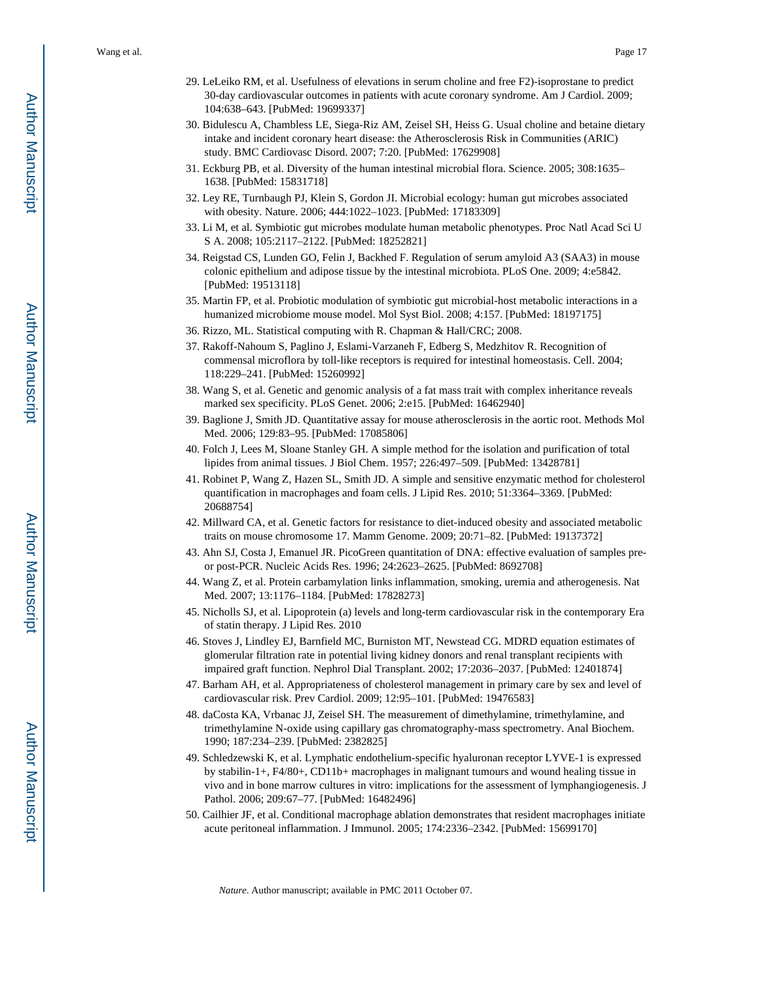- 29. LeLeiko RM, et al. Usefulness of elevations in serum choline and free F2)-isoprostane to predict 30-day cardiovascular outcomes in patients with acute coronary syndrome. Am J Cardiol. 2009; 104:638–643. [PubMed: 19699337]
- 30. Bidulescu A, Chambless LE, Siega-Riz AM, Zeisel SH, Heiss G. Usual choline and betaine dietary intake and incident coronary heart disease: the Atherosclerosis Risk in Communities (ARIC) study. BMC Cardiovasc Disord. 2007; 7:20. [PubMed: 17629908]
- 31. Eckburg PB, et al. Diversity of the human intestinal microbial flora. Science. 2005; 308:1635– 1638. [PubMed: 15831718]
- 32. Ley RE, Turnbaugh PJ, Klein S, Gordon JI. Microbial ecology: human gut microbes associated with obesity. Nature. 2006; 444:1022–1023. [PubMed: 17183309]
- 33. Li M, et al. Symbiotic gut microbes modulate human metabolic phenotypes. Proc Natl Acad Sci U S A. 2008; 105:2117–2122. [PubMed: 18252821]
- 34. Reigstad CS, Lunden GO, Felin J, Backhed F. Regulation of serum amyloid A3 (SAA3) in mouse colonic epithelium and adipose tissue by the intestinal microbiota. PLoS One. 2009; 4:e5842. [PubMed: 19513118]
- 35. Martin FP, et al. Probiotic modulation of symbiotic gut microbial-host metabolic interactions in a humanized microbiome mouse model. Mol Syst Biol. 2008; 4:157. [PubMed: 18197175]
- 36. Rizzo, ML. Statistical computing with R. Chapman & Hall/CRC; 2008.
- 37. Rakoff-Nahoum S, Paglino J, Eslami-Varzaneh F, Edberg S, Medzhitov R. Recognition of commensal microflora by toll-like receptors is required for intestinal homeostasis. Cell. 2004; 118:229–241. [PubMed: 15260992]
- 38. Wang S, et al. Genetic and genomic analysis of a fat mass trait with complex inheritance reveals marked sex specificity. PLoS Genet. 2006; 2:e15. [PubMed: 16462940]
- 39. Baglione J, Smith JD. Quantitative assay for mouse atherosclerosis in the aortic root. Methods Mol Med. 2006; 129:83–95. [PubMed: 17085806]
- 40. Folch J, Lees M, Sloane Stanley GH. A simple method for the isolation and purification of total lipides from animal tissues. J Biol Chem. 1957; 226:497–509. [PubMed: 13428781]
- 41. Robinet P, Wang Z, Hazen SL, Smith JD. A simple and sensitive enzymatic method for cholesterol quantification in macrophages and foam cells. J Lipid Res. 2010; 51:3364–3369. [PubMed: 20688754]
- 42. Millward CA, et al. Genetic factors for resistance to diet-induced obesity and associated metabolic traits on mouse chromosome 17. Mamm Genome. 2009; 20:71–82. [PubMed: 19137372]
- 43. Ahn SJ, Costa J, Emanuel JR. PicoGreen quantitation of DNA: effective evaluation of samples preor post-PCR. Nucleic Acids Res. 1996; 24:2623–2625. [PubMed: 8692708]
- 44. Wang Z, et al. Protein carbamylation links inflammation, smoking, uremia and atherogenesis. Nat Med. 2007; 13:1176–1184. [PubMed: 17828273]
- 45. Nicholls SJ, et al. Lipoprotein (a) levels and long-term cardiovascular risk in the contemporary Era of statin therapy. J Lipid Res. 2010
- 46. Stoves J, Lindley EJ, Barnfield MC, Burniston MT, Newstead CG. MDRD equation estimates of glomerular filtration rate in potential living kidney donors and renal transplant recipients with impaired graft function. Nephrol Dial Transplant. 2002; 17:2036–2037. [PubMed: 12401874]
- 47. Barham AH, et al. Appropriateness of cholesterol management in primary care by sex and level of cardiovascular risk. Prev Cardiol. 2009; 12:95–101. [PubMed: 19476583]
- 48. daCosta KA, Vrbanac JJ, Zeisel SH. The measurement of dimethylamine, trimethylamine, and trimethylamine N-oxide using capillary gas chromatography-mass spectrometry. Anal Biochem. 1990; 187:234–239. [PubMed: 2382825]
- 49. Schledzewski K, et al. Lymphatic endothelium-specific hyaluronan receptor LYVE-1 is expressed by stabilin-1+, F4/80+, CD11b+ macrophages in malignant tumours and wound healing tissue in vivo and in bone marrow cultures in vitro: implications for the assessment of lymphangiogenesis. J Pathol. 2006; 209:67–77. [PubMed: 16482496]
- 50. Cailhier JF, et al. Conditional macrophage ablation demonstrates that resident macrophages initiate acute peritoneal inflammation. J Immunol. 2005; 174:2336–2342. [PubMed: 15699170]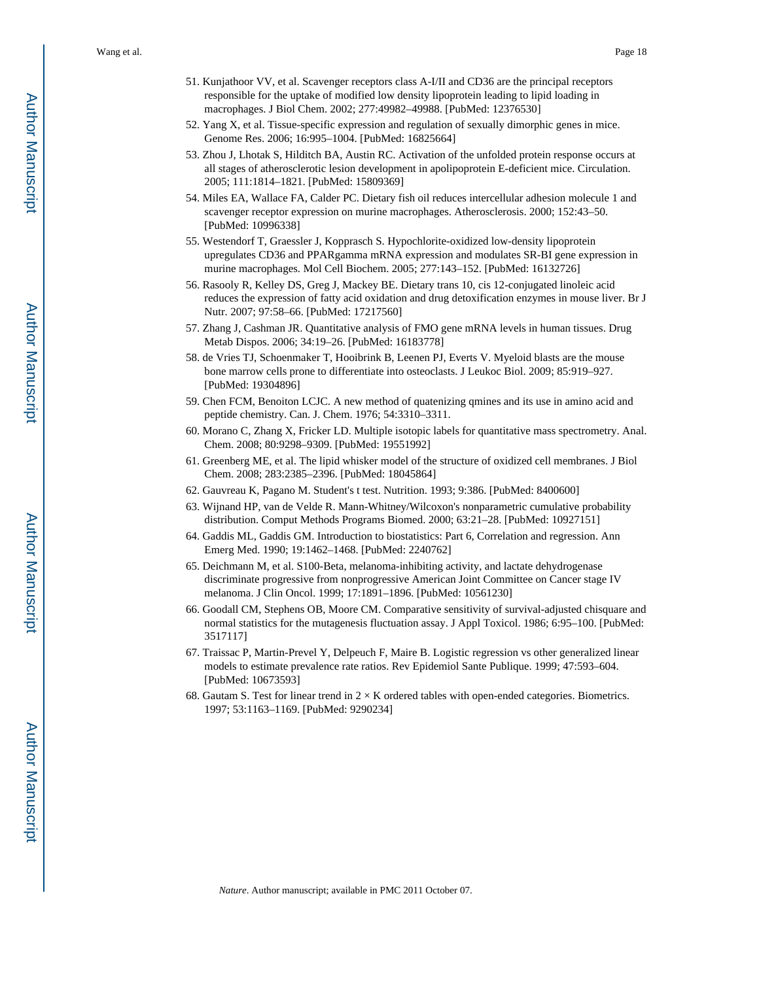- 51. Kunjathoor VV, et al. Scavenger receptors class A-I/II and CD36 are the principal receptors responsible for the uptake of modified low density lipoprotein leading to lipid loading in macrophages. J Biol Chem. 2002; 277:49982–49988. [PubMed: 12376530]
- 52. Yang X, et al. Tissue-specific expression and regulation of sexually dimorphic genes in mice. Genome Res. 2006; 16:995–1004. [PubMed: 16825664]
- 53. Zhou J, Lhotak S, Hilditch BA, Austin RC. Activation of the unfolded protein response occurs at all stages of atherosclerotic lesion development in apolipoprotein E-deficient mice. Circulation. 2005; 111:1814–1821. [PubMed: 15809369]
- 54. Miles EA, Wallace FA, Calder PC. Dietary fish oil reduces intercellular adhesion molecule 1 and scavenger receptor expression on murine macrophages. Atherosclerosis. 2000; 152:43–50. [PubMed: 10996338]
- 55. Westendorf T, Graessler J, Kopprasch S. Hypochlorite-oxidized low-density lipoprotein upregulates CD36 and PPARgamma mRNA expression and modulates SR-BI gene expression in murine macrophages. Mol Cell Biochem. 2005; 277:143–152. [PubMed: 16132726]
- 56. Rasooly R, Kelley DS, Greg J, Mackey BE. Dietary trans 10, cis 12-conjugated linoleic acid reduces the expression of fatty acid oxidation and drug detoxification enzymes in mouse liver. Br J Nutr. 2007; 97:58–66. [PubMed: 17217560]
- 57. Zhang J, Cashman JR. Quantitative analysis of FMO gene mRNA levels in human tissues. Drug Metab Dispos. 2006; 34:19–26. [PubMed: 16183778]
- 58. de Vries TJ, Schoenmaker T, Hooibrink B, Leenen PJ, Everts V. Myeloid blasts are the mouse bone marrow cells prone to differentiate into osteoclasts. J Leukoc Biol. 2009; 85:919–927. [PubMed: 19304896]
- 59. Chen FCM, Benoiton LCJC. A new method of quatenizing qmines and its use in amino acid and peptide chemistry. Can. J. Chem. 1976; 54:3310–3311.
- 60. Morano C, Zhang X, Fricker LD. Multiple isotopic labels for quantitative mass spectrometry. Anal. Chem. 2008; 80:9298–9309. [PubMed: 19551992]
- 61. Greenberg ME, et al. The lipid whisker model of the structure of oxidized cell membranes. J Biol Chem. 2008; 283:2385–2396. [PubMed: 18045864]
- 62. Gauvreau K, Pagano M. Student's t test. Nutrition. 1993; 9:386. [PubMed: 8400600]
- 63. Wijnand HP, van de Velde R. Mann-Whitney/Wilcoxon's nonparametric cumulative probability distribution. Comput Methods Programs Biomed. 2000; 63:21–28. [PubMed: 10927151]
- 64. Gaddis ML, Gaddis GM. Introduction to biostatistics: Part 6, Correlation and regression. Ann Emerg Med. 1990; 19:1462–1468. [PubMed: 2240762]
- 65. Deichmann M, et al. S100-Beta, melanoma-inhibiting activity, and lactate dehydrogenase discriminate progressive from nonprogressive American Joint Committee on Cancer stage IV melanoma. J Clin Oncol. 1999; 17:1891–1896. [PubMed: 10561230]
- 66. Goodall CM, Stephens OB, Moore CM. Comparative sensitivity of survival-adjusted chisquare and normal statistics for the mutagenesis fluctuation assay. J Appl Toxicol. 1986; 6:95–100. [PubMed: 3517117]
- 67. Traissac P, Martin-Prevel Y, Delpeuch F, Maire B. Logistic regression vs other generalized linear models to estimate prevalence rate ratios. Rev Epidemiol Sante Publique. 1999; 47:593–604. [PubMed: 10673593]
- 68. Gautam S. Test for linear trend in  $2 \times K$  ordered tables with open-ended categories. Biometrics. 1997; 53:1163–1169. [PubMed: 9290234]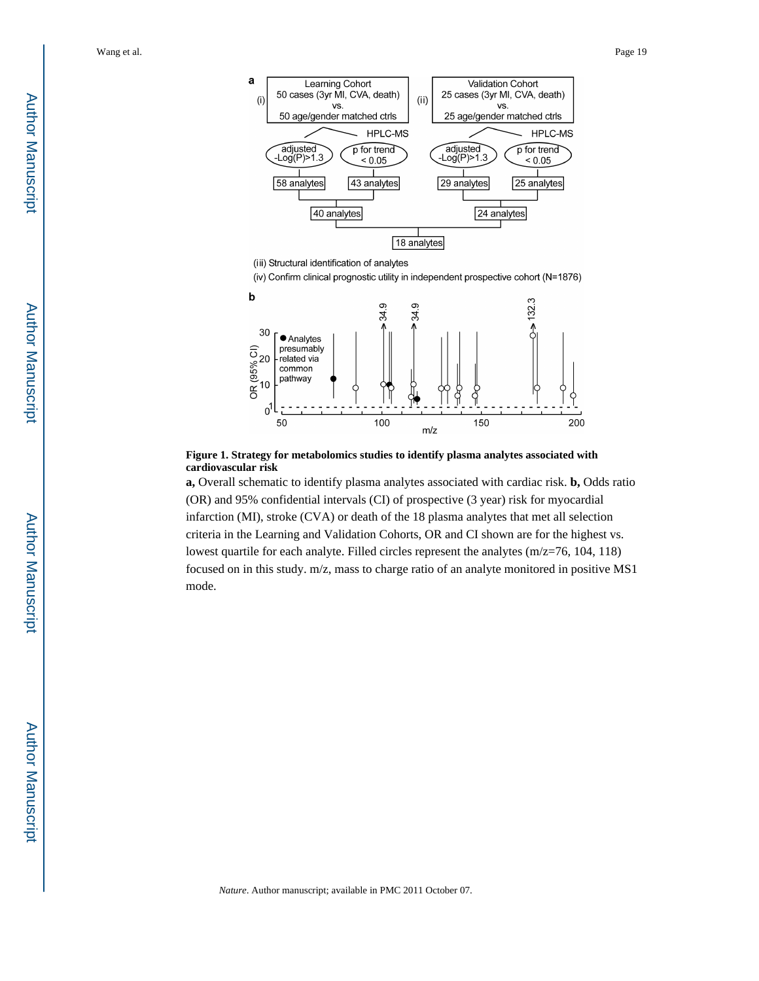

(iii) Structural identification of analytes

(iv) Confirm clinical prognostic utility in independent prospective cohort (N=1876)



**Figure 1. Strategy for metabolomics studies to identify plasma analytes associated with cardiovascular risk**

**a,** Overall schematic to identify plasma analytes associated with cardiac risk. **b,** Odds ratio (OR) and 95% confidential intervals (CI) of prospective (3 year) risk for myocardial infarction (MI), stroke (CVA) or death of the 18 plasma analytes that met all selection criteria in the Learning and Validation Cohorts, OR and CI shown are for the highest vs. lowest quartile for each analyte. Filled circles represent the analytes (m/z=76, 104, 118) focused on in this study. m/z, mass to charge ratio of an analyte monitored in positive MS1 mode.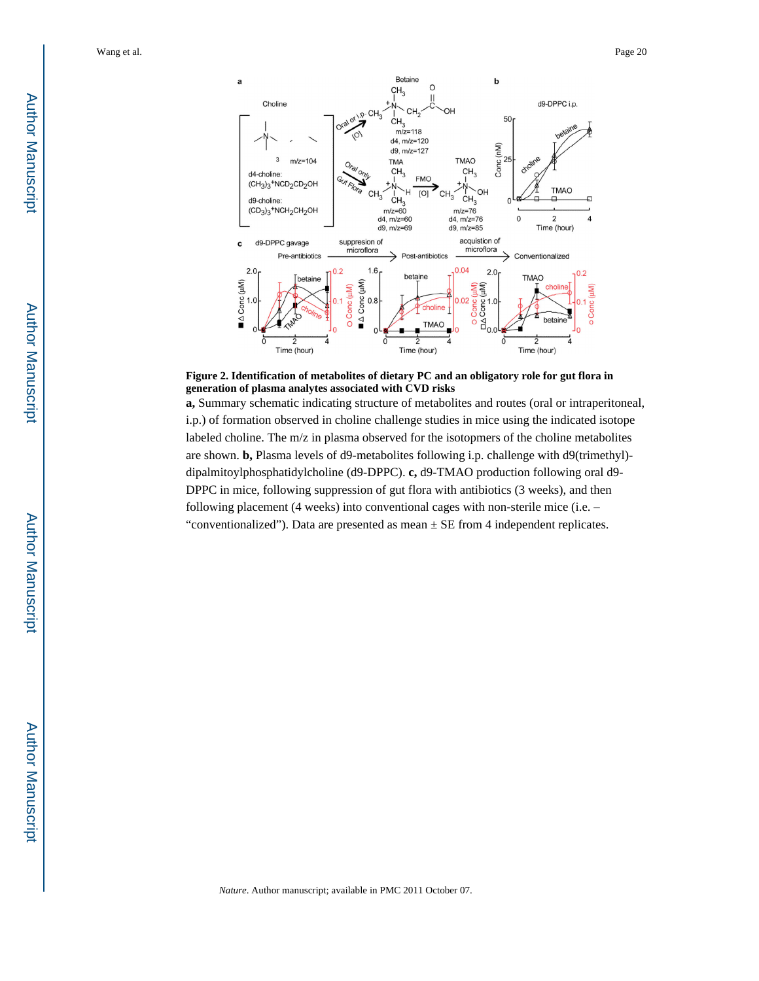

**Figure 2. Identification of metabolites of dietary PC and an obligatory role for gut flora in generation of plasma analytes associated with CVD risks**

**a,** Summary schematic indicating structure of metabolites and routes (oral or intraperitoneal, i.p.) of formation observed in choline challenge studies in mice using the indicated isotope labeled choline. The m/z in plasma observed for the isotopmers of the choline metabolites are shown. **b,** Plasma levels of d9-metabolites following i.p. challenge with d9(trimethyl) dipalmitoylphosphatidylcholine (d9-DPPC). **c,** d9-TMAO production following oral d9- DPPC in mice, following suppression of gut flora with antibiotics (3 weeks), and then following placement (4 weeks) into conventional cages with non-sterile mice (i.e. – "conventionalized"). Data are presented as mean ± SE from 4 independent replicates.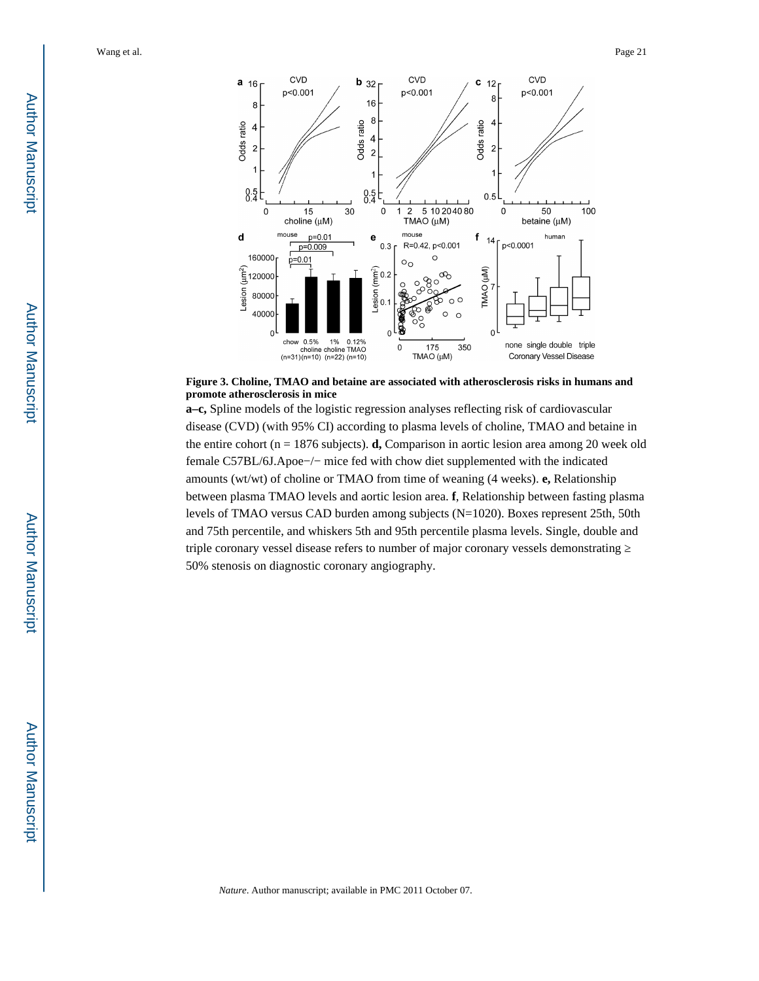

**Figure 3. Choline, TMAO and betaine are associated with atherosclerosis risks in humans and promote atherosclerosis in mice**

**a–c,** Spline models of the logistic regression analyses reflecting risk of cardiovascular disease (CVD) (with 95% CI) according to plasma levels of choline, TMAO and betaine in the entire cohort (n = 1876 subjects). **d,** Comparison in aortic lesion area among 20 week old female C57BL/6J.Apoe−/− mice fed with chow diet supplemented with the indicated amounts (wt/wt) of choline or TMAO from time of weaning (4 weeks). **e,** Relationship between plasma TMAO levels and aortic lesion area. **f**, Relationship between fasting plasma levels of TMAO versus CAD burden among subjects (N=1020). Boxes represent 25th, 50th and 75th percentile, and whiskers 5th and 95th percentile plasma levels. Single, double and triple coronary vessel disease refers to number of major coronary vessels demonstrating 50% stenosis on diagnostic coronary angiography.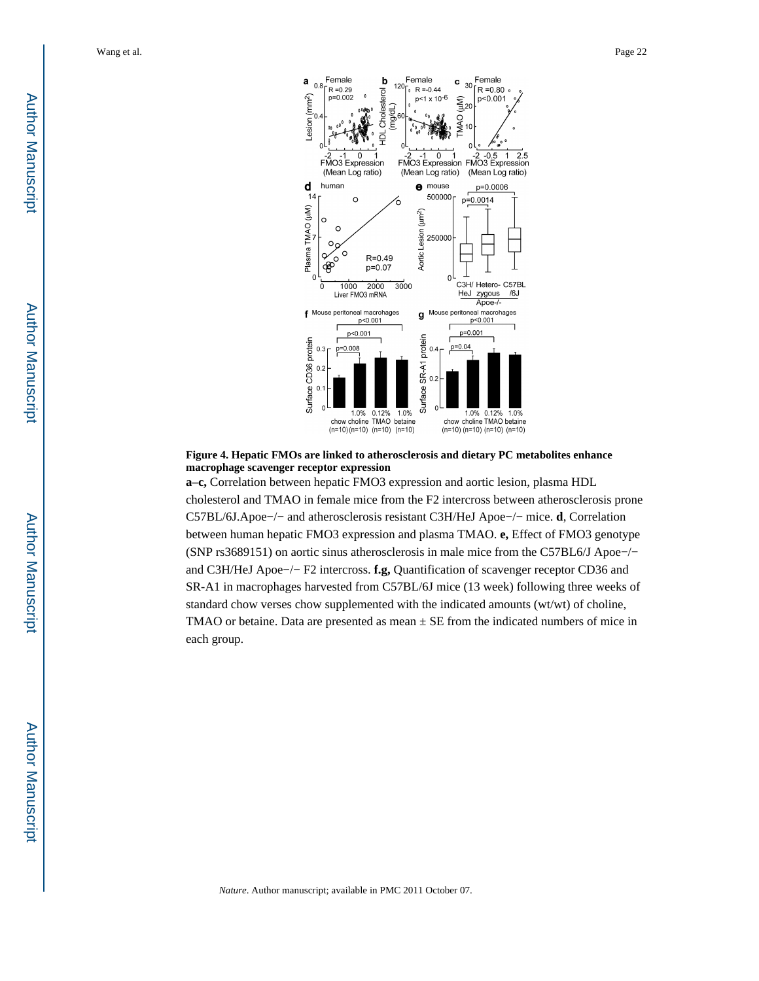

#### **Figure 4. Hepatic FMOs are linked to atherosclerosis and dietary PC metabolites enhance macrophage scavenger receptor expression**

**a–c,** Correlation between hepatic FMO3 expression and aortic lesion, plasma HDL cholesterol and TMAO in female mice from the F2 intercross between atherosclerosis prone C57BL/6J.Apoe−/− and atherosclerosis resistant C3H/HeJ Apoe−/− mice. **d**, Correlation between human hepatic FMO3 expression and plasma TMAO. **e,** Effect of FMO3 genotype (SNP rs3689151) on aortic sinus atherosclerosis in male mice from the C57BL6/J Apoe−/− and C3H/HeJ Apoe−/− F2 intercross. **f.g,** Quantification of scavenger receptor CD36 and SR-A1 in macrophages harvested from C57BL/6J mice (13 week) following three weeks of standard chow verses chow supplemented with the indicated amounts (wt/wt) of choline, TMAO or betaine. Data are presented as mean  $\pm$  SE from the indicated numbers of mice in each group.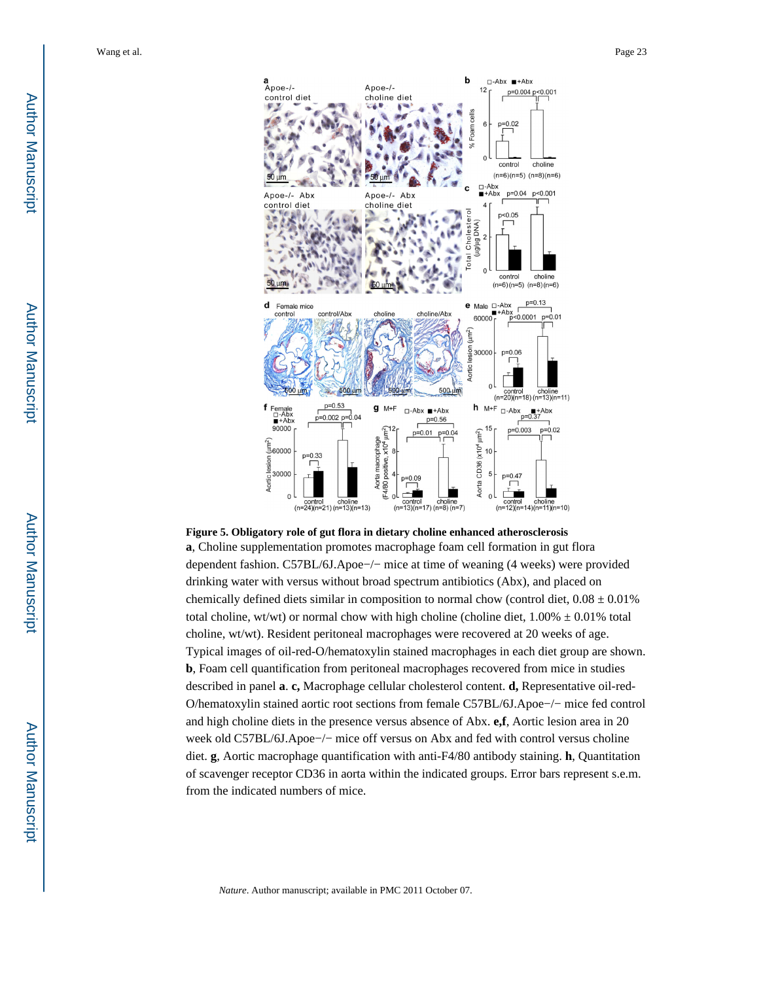

**Figure 5. Obligatory role of gut flora in dietary choline enhanced atherosclerosis**

**a**, Choline supplementation promotes macrophage foam cell formation in gut flora dependent fashion. C57BL/6J.Apoe−/− mice at time of weaning (4 weeks) were provided drinking water with versus without broad spectrum antibiotics (Abx), and placed on chemically defined diets similar in composition to normal chow (control diet,  $0.08 \pm 0.01\%$ ) total choline, wt/wt) or normal chow with high choline (choline diet,  $1.00\% \pm 0.01\%$  total choline, wt/wt). Resident peritoneal macrophages were recovered at 20 weeks of age. Typical images of oil-red-O/hematoxylin stained macrophages in each diet group are shown. **b**, Foam cell quantification from peritoneal macrophages recovered from mice in studies described in panel **a**. **c,** Macrophage cellular cholesterol content. **d,** Representative oil-red-O/hematoxylin stained aortic root sections from female C57BL/6J.Apoe−/− mice fed control and high choline diets in the presence versus absence of Abx. **e,f**, Aortic lesion area in 20 week old C57BL/6J.Apoe−/− mice off versus on Abx and fed with control versus choline diet. **g**, Aortic macrophage quantification with anti-F4/80 antibody staining. **h**, Quantitation of scavenger receptor CD36 in aorta within the indicated groups. Error bars represent s.e.m. from the indicated numbers of mice.